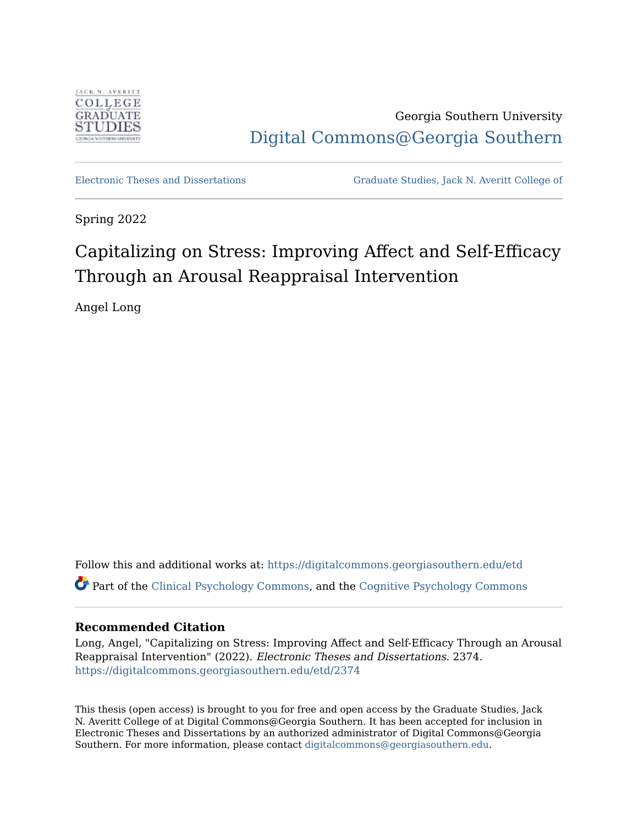

Georgia Southern University [Digital Commons@Georgia Southern](https://digitalcommons.georgiasouthern.edu/) 

[Electronic Theses and Dissertations](https://digitalcommons.georgiasouthern.edu/etd) [Graduate Studies, Jack N. Averitt College of](https://digitalcommons.georgiasouthern.edu/cogs) 

Spring 2022

# Capitalizing on Stress: Improving Affect and Self-Efficacy Through an Arousal Reappraisal Intervention

Angel Long

Follow this and additional works at: [https://digitalcommons.georgiasouthern.edu/etd](https://digitalcommons.georgiasouthern.edu/etd?utm_source=digitalcommons.georgiasouthern.edu%2Fetd%2F2374&utm_medium=PDF&utm_campaign=PDFCoverPages)  Part of the [Clinical Psychology Commons,](http://network.bepress.com/hgg/discipline/406?utm_source=digitalcommons.georgiasouthern.edu%2Fetd%2F2374&utm_medium=PDF&utm_campaign=PDFCoverPages) and the [Cognitive Psychology Commons](http://network.bepress.com/hgg/discipline/408?utm_source=digitalcommons.georgiasouthern.edu%2Fetd%2F2374&utm_medium=PDF&utm_campaign=PDFCoverPages) 

# **Recommended Citation**

Long, Angel, "Capitalizing on Stress: Improving Affect and Self-Efficacy Through an Arousal Reappraisal Intervention" (2022). Electronic Theses and Dissertations. 2374. [https://digitalcommons.georgiasouthern.edu/etd/2374](https://digitalcommons.georgiasouthern.edu/etd/2374?utm_source=digitalcommons.georgiasouthern.edu%2Fetd%2F2374&utm_medium=PDF&utm_campaign=PDFCoverPages) 

This thesis (open access) is brought to you for free and open access by the Graduate Studies, Jack N. Averitt College of at Digital Commons@Georgia Southern. It has been accepted for inclusion in Electronic Theses and Dissertations by an authorized administrator of Digital Commons@Georgia Southern. For more information, please contact [digitalcommons@georgiasouthern.edu](mailto:digitalcommons@georgiasouthern.edu).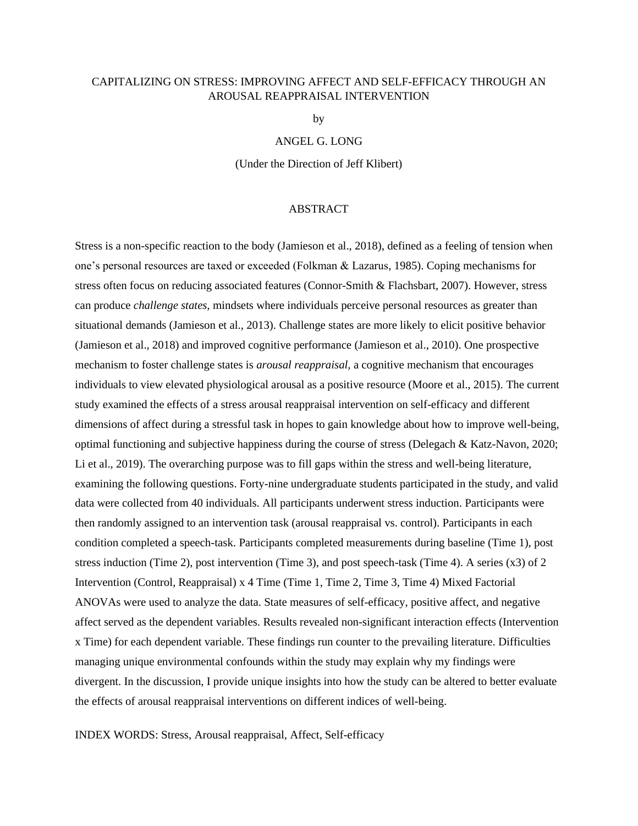# CAPITALIZING ON STRESS: IMPROVING AFFECT AND SELF-EFFICACY THROUGH AN AROUSAL REAPPRAISAL INTERVENTION

by

#### ANGEL G. LONG

(Under the Direction of Jeff Klibert)

# ABSTRACT

Stress is a non-specific reaction to the body (Jamieson et al., 2018), defined as a feeling of tension when one's personal resources are taxed or exceeded (Folkman & Lazarus, 1985). Coping mechanisms for stress often focus on reducing associated features (Connor-Smith & Flachsbart, 2007). However, stress can produce *challenge states,* mindsets where individuals perceive personal resources as greater than situational demands (Jamieson et al., 2013). Challenge states are more likely to elicit positive behavior (Jamieson et al., 2018) and improved cognitive performance (Jamieson et al., 2010). One prospective mechanism to foster challenge states is *arousal reappraisal,* a cognitive mechanism that encourages individuals to view elevated physiological arousal as a positive resource (Moore et al., 2015). The current study examined the effects of a stress arousal reappraisal intervention on self-efficacy and different dimensions of affect during a stressful task in hopes to gain knowledge about how to improve well-being, optimal functioning and subjective happiness during the course of stress (Delegach & Katz-Navon, 2020; Li et al., 2019). The overarching purpose was to fill gaps within the stress and well-being literature, examining the following questions. Forty-nine undergraduate students participated in the study, and valid data were collected from 40 individuals. All participants underwent stress induction. Participants were then randomly assigned to an intervention task (arousal reappraisal vs. control). Participants in each condition completed a speech-task. Participants completed measurements during baseline (Time 1), post stress induction (Time 2), post intervention (Time 3), and post speech-task (Time 4). A series (x3) of 2 Intervention (Control, Reappraisal) x 4 Time (Time 1, Time 2, Time 3, Time 4) Mixed Factorial ANOVAs were used to analyze the data. State measures of self-efficacy, positive affect, and negative affect served as the dependent variables. Results revealed non-significant interaction effects (Intervention x Time) for each dependent variable. These findings run counter to the prevailing literature. Difficulties managing unique environmental confounds within the study may explain why my findings were divergent. In the discussion, I provide unique insights into how the study can be altered to better evaluate the effects of arousal reappraisal interventions on different indices of well-being.

INDEX WORDS: Stress, Arousal reappraisal, Affect, Self-efficacy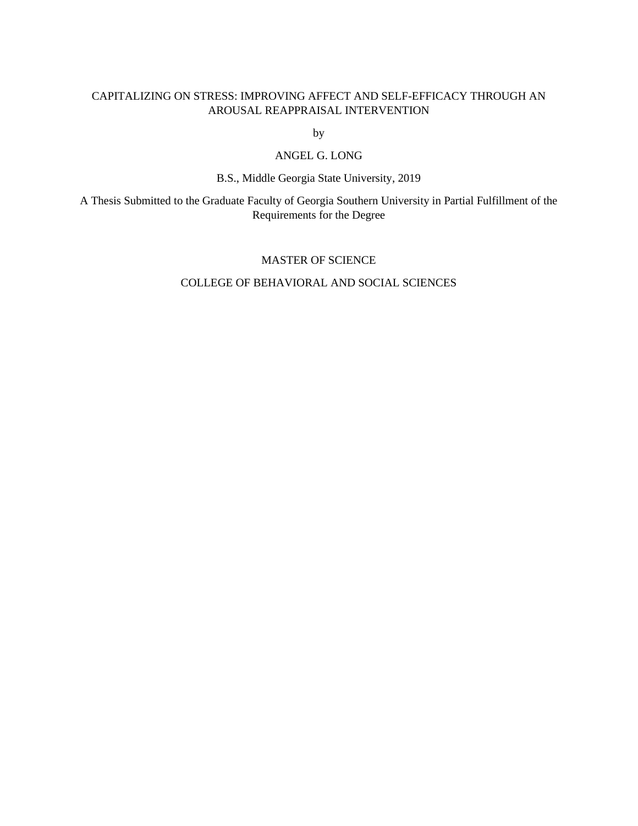# CAPITALIZING ON STRESS: IMPROVING AFFECT AND SELF-EFFICACY THROUGH AN AROUSAL REAPPRAISAL INTERVENTION

by

# ANGEL G. LONG

B.S., Middle Georgia State University, 2019

A Thesis Submitted to the Graduate Faculty of Georgia Southern University in Partial Fulfillment of the Requirements for the Degree

# MASTER OF SCIENCE

# COLLEGE OF BEHAVIORAL AND SOCIAL SCIENCES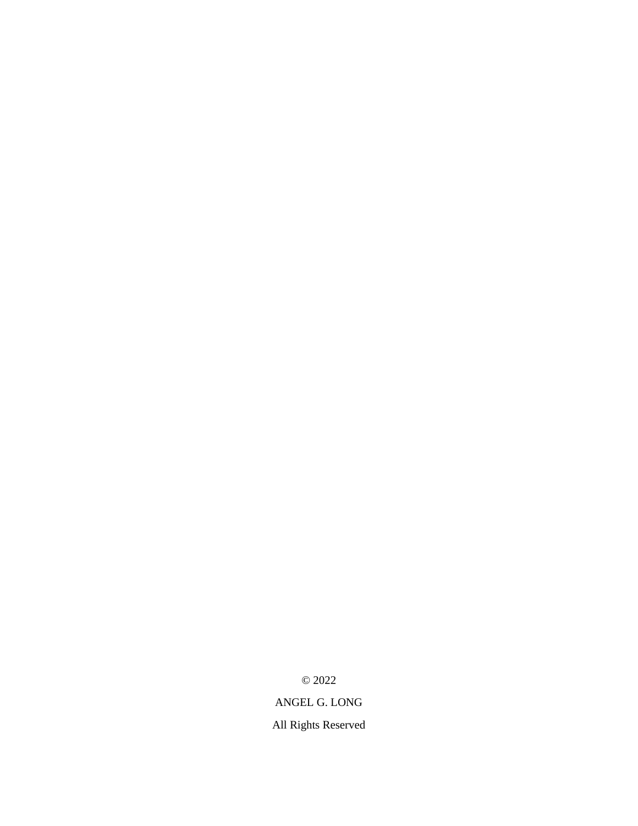© 2022

ANGEL G. LONG

All Rights Reserved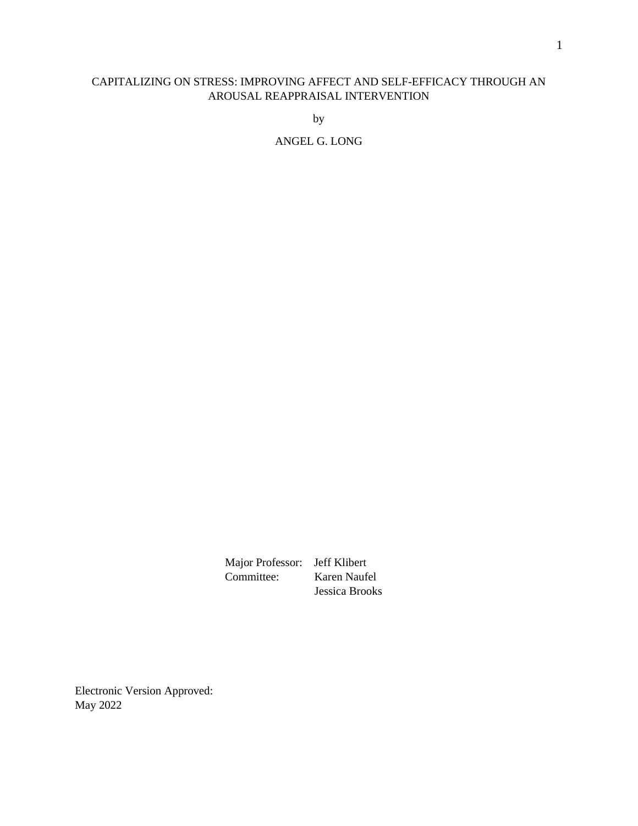# CAPITALIZING ON STRESS: IMPROVING AFFECT AND SELF-EFFICACY THROUGH AN AROUSAL REAPPRAISAL INTERVENTION

by

ANGEL G. LONG

Major Professor: Jeff Klibert<br>Committee: Karen Naufe Karen Naufel Jessica Brooks

Electronic Version Approved: May 2022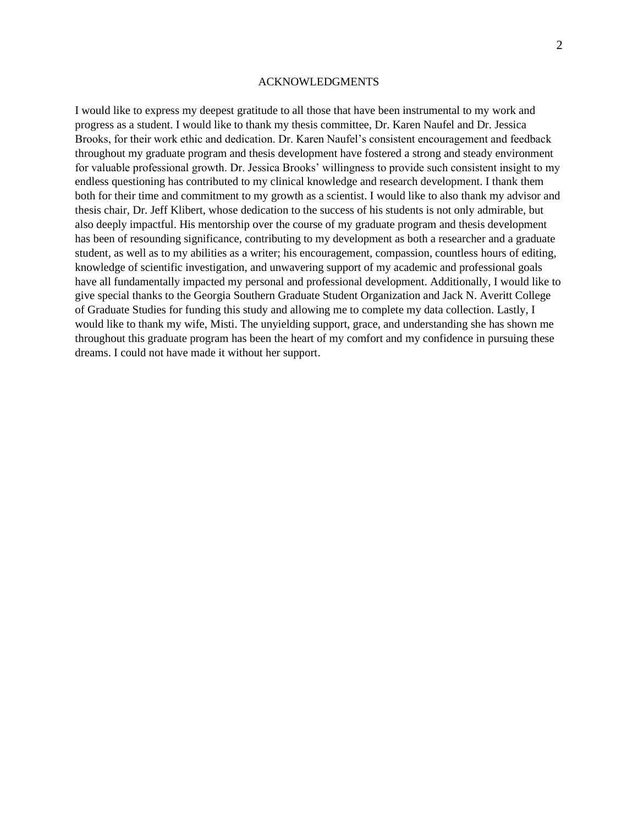#### ACKNOWLEDGMENTS

I would like to express my deepest gratitude to all those that have been instrumental to my work and progress as a student. I would like to thank my thesis committee, Dr. Karen Naufel and Dr. Jessica Brooks, for their work ethic and dedication. Dr. Karen Naufel's consistent encouragement and feedback throughout my graduate program and thesis development have fostered a strong and steady environment for valuable professional growth. Dr. Jessica Brooks' willingness to provide such consistent insight to my endless questioning has contributed to my clinical knowledge and research development. I thank them both for their time and commitment to my growth as a scientist. I would like to also thank my advisor and thesis chair, Dr. Jeff Klibert, whose dedication to the success of his students is not only admirable, but also deeply impactful. His mentorship over the course of my graduate program and thesis development has been of resounding significance, contributing to my development as both a researcher and a graduate student, as well as to my abilities as a writer; his encouragement, compassion, countless hours of editing, knowledge of scientific investigation, and unwavering support of my academic and professional goals have all fundamentally impacted my personal and professional development. Additionally, I would like to give special thanks to the Georgia Southern Graduate Student Organization and Jack N. Averitt College of Graduate Studies for funding this study and allowing me to complete my data collection. Lastly, I would like to thank my wife, Misti. The unyielding support, grace, and understanding she has shown me throughout this graduate program has been the heart of my comfort and my confidence in pursuing these dreams. I could not have made it without her support.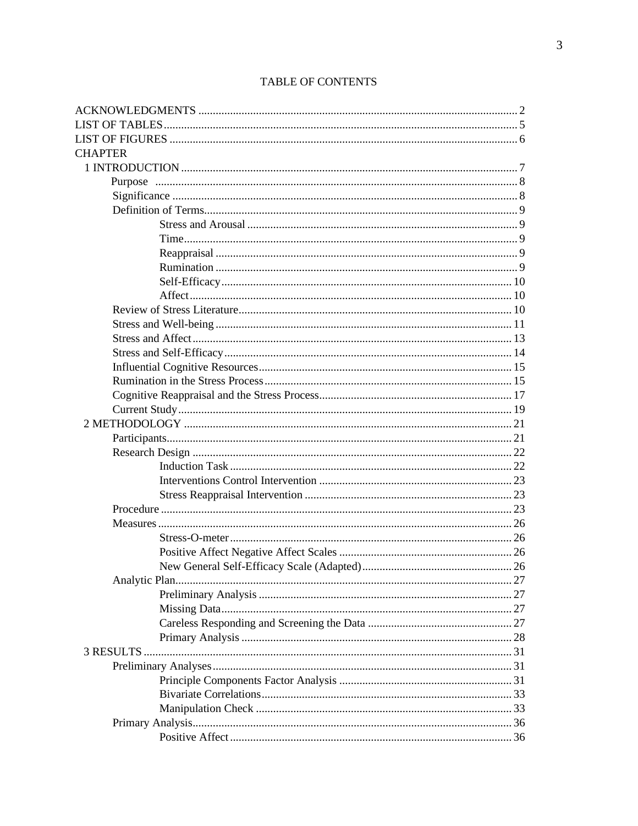| <b>CHAPTER</b> |  |
|----------------|--|
|                |  |
|                |  |
|                |  |
|                |  |
|                |  |
|                |  |
|                |  |
|                |  |
|                |  |
|                |  |
|                |  |
|                |  |
|                |  |
|                |  |
|                |  |
|                |  |
|                |  |
|                |  |
|                |  |
|                |  |
|                |  |
|                |  |
|                |  |
|                |  |
|                |  |
|                |  |
|                |  |
|                |  |
| 26             |  |
|                |  |
|                |  |
|                |  |
|                |  |
|                |  |
|                |  |
|                |  |
|                |  |
|                |  |
|                |  |
|                |  |
|                |  |

# TABLE OF CONTENTS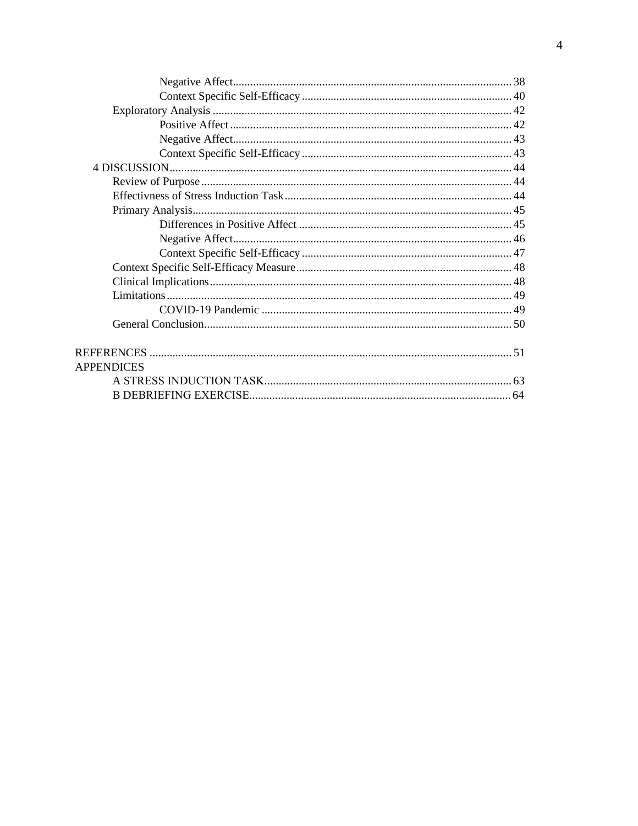| <b>APPENDICES</b> |  |
|-------------------|--|
|                   |  |
|                   |  |
|                   |  |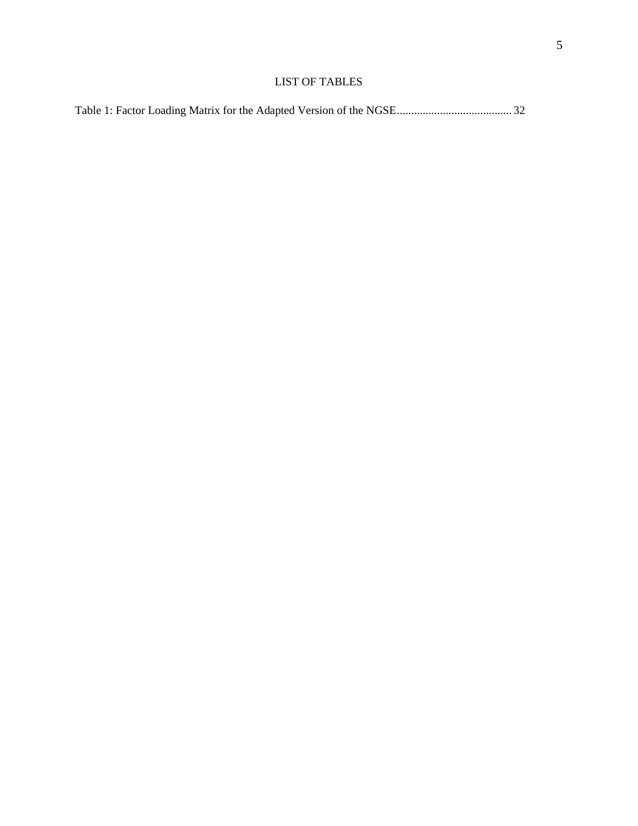# LIST OF TABLES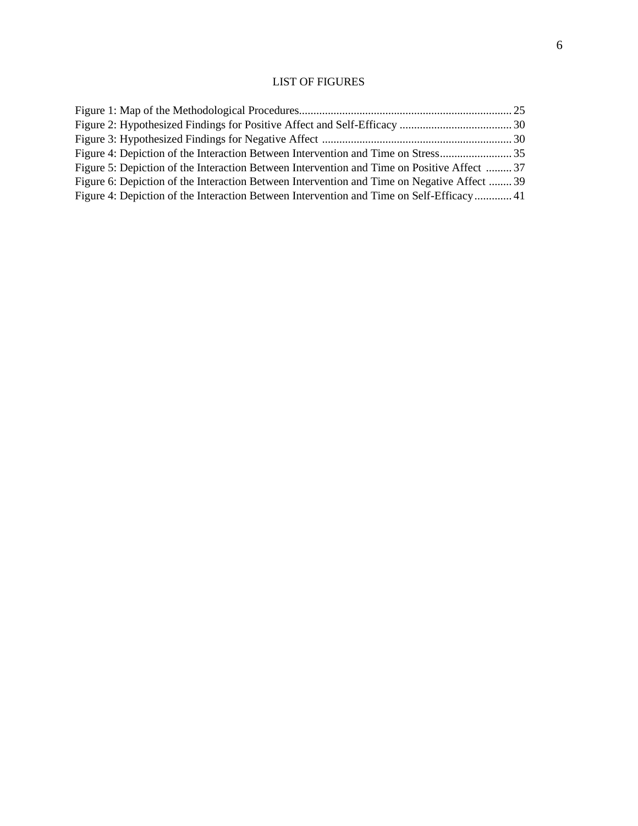# LIST OF FIGURES

| Figure 5: Depiction of the Interaction Between Intervention and Time on Positive Affect  37 |  |
|---------------------------------------------------------------------------------------------|--|
| Figure 6: Depiction of the Interaction Between Intervention and Time on Negative Affect  39 |  |
| Figure 4: Depiction of the Interaction Between Intervention and Time on Self-Efficacy 41    |  |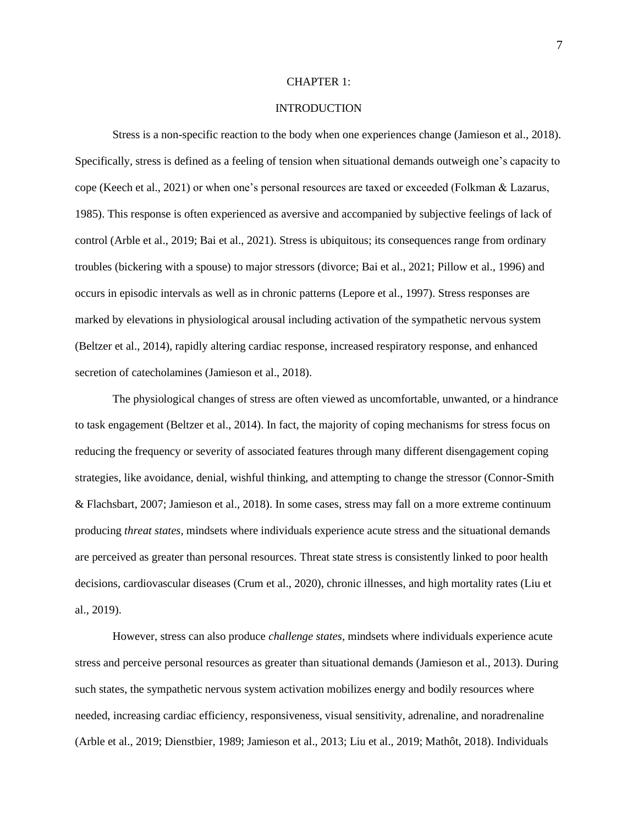#### CHAPTER 1:

# INTRODUCTION

Stress is a non-specific reaction to the body when one experiences change (Jamieson et al., 2018). Specifically, stress is defined as a feeling of tension when situational demands outweigh one's capacity to cope (Keech et al., 2021) or when one's personal resources are taxed or exceeded (Folkman & Lazarus, 1985). This response is often experienced as aversive and accompanied by subjective feelings of lack of control (Arble et al., 2019; Bai et al., 2021). Stress is ubiquitous; its consequences range from ordinary troubles (bickering with a spouse) to major stressors (divorce; Bai et al., 2021; Pillow et al., 1996) and occurs in episodic intervals as well as in chronic patterns (Lepore et al., 1997). Stress responses are marked by elevations in physiological arousal including activation of the sympathetic nervous system (Beltzer et al., 2014), rapidly altering cardiac response, increased respiratory response, and enhanced secretion of catecholamines (Jamieson et al., 2018).

The physiological changes of stress are often viewed as uncomfortable, unwanted, or a hindrance to task engagement (Beltzer et al., 2014). In fact, the majority of coping mechanisms for stress focus on reducing the frequency or severity of associated features through many different disengagement coping strategies, like avoidance, denial, wishful thinking, and attempting to change the stressor (Connor-Smith & Flachsbart, 2007; Jamieson et al., 2018). In some cases, stress may fall on a more extreme continuum producing *threat states,* mindsets where individuals experience acute stress and the situational demands are perceived as greater than personal resources. Threat state stress is consistently linked to poor health decisions, cardiovascular diseases (Crum et al., 2020), chronic illnesses, and high mortality rates (Liu et al., 2019).

However, stress can also produce *challenge states,* mindsets where individuals experience acute stress and perceive personal resources as greater than situational demands (Jamieson et al., 2013). During such states, the sympathetic nervous system activation mobilizes energy and bodily resources where needed, increasing cardiac efficiency, responsiveness, visual sensitivity, adrenaline, and noradrenaline (Arble et al., 2019; Dienstbier, 1989; Jamieson et al., 2013; Liu et al., 2019; Mathôt, 2018). Individuals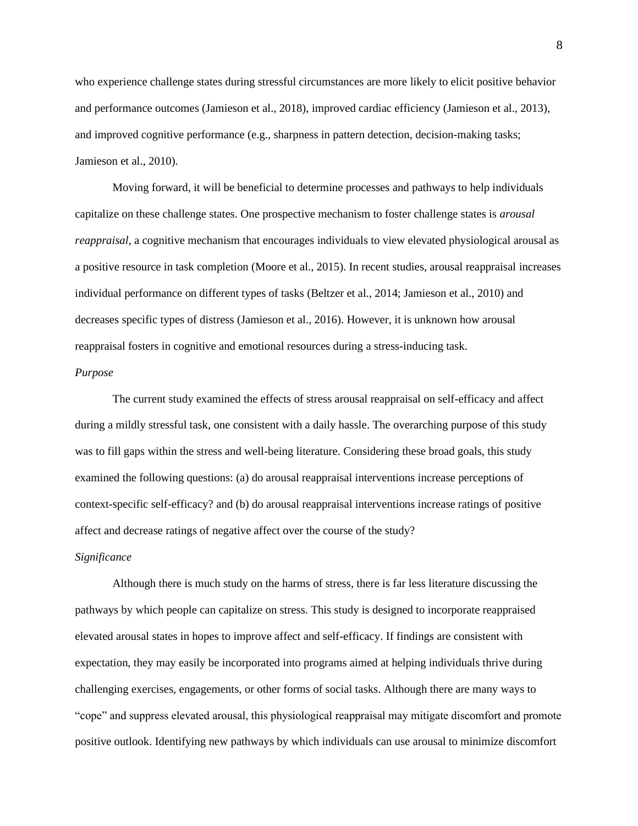who experience challenge states during stressful circumstances are more likely to elicit positive behavior and performance outcomes (Jamieson et al., 2018), improved cardiac efficiency (Jamieson et al., 2013), and improved cognitive performance (e.g., sharpness in pattern detection, decision-making tasks; Jamieson et al., 2010).

Moving forward, it will be beneficial to determine processes and pathways to help individuals capitalize on these challenge states. One prospective mechanism to foster challenge states is *arousal reappraisal,* a cognitive mechanism that encourages individuals to view elevated physiological arousal as a positive resource in task completion (Moore et al., 2015). In recent studies, arousal reappraisal increases individual performance on different types of tasks (Beltzer et al., 2014; Jamieson et al., 2010) and decreases specific types of distress (Jamieson et al., 2016). However, it is unknown how arousal reappraisal fosters in cognitive and emotional resources during a stress-inducing task.

## *Purpose*

The current study examined the effects of stress arousal reappraisal on self-efficacy and affect during a mildly stressful task, one consistent with a daily hassle. The overarching purpose of this study was to fill gaps within the stress and well-being literature. Considering these broad goals, this study examined the following questions: (a) do arousal reappraisal interventions increase perceptions of context-specific self-efficacy? and (b) do arousal reappraisal interventions increase ratings of positive affect and decrease ratings of negative affect over the course of the study?

# *Significance*

Although there is much study on the harms of stress, there is far less literature discussing the pathways by which people can capitalize on stress. This study is designed to incorporate reappraised elevated arousal states in hopes to improve affect and self-efficacy. If findings are consistent with expectation, they may easily be incorporated into programs aimed at helping individuals thrive during challenging exercises, engagements, or other forms of social tasks. Although there are many ways to "cope" and suppress elevated arousal, this physiological reappraisal may mitigate discomfort and promote positive outlook. Identifying new pathways by which individuals can use arousal to minimize discomfort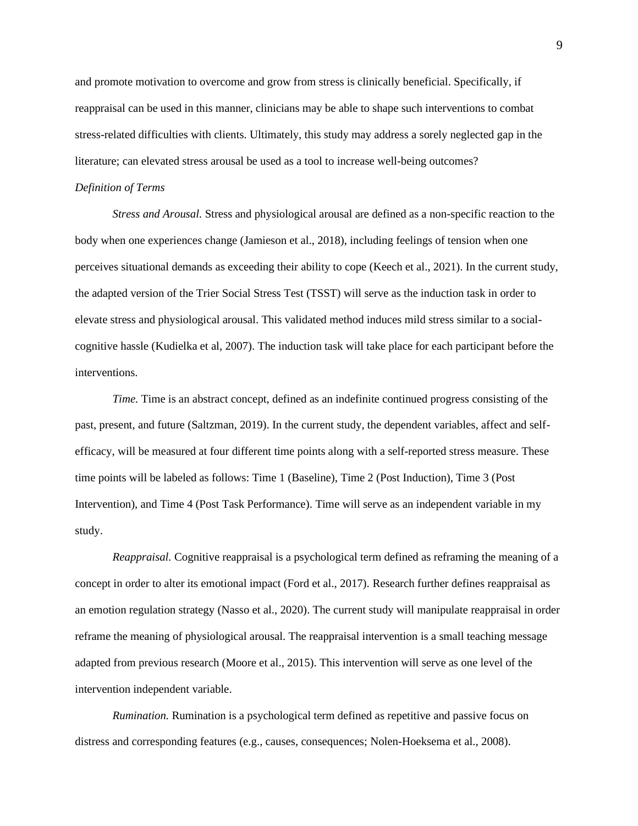and promote motivation to overcome and grow from stress is clinically beneficial. Specifically, if reappraisal can be used in this manner, clinicians may be able to shape such interventions to combat stress-related difficulties with clients. Ultimately, this study may address a sorely neglected gap in the literature; can elevated stress arousal be used as a tool to increase well-being outcomes?

#### *Definition of Terms*

*Stress and Arousal.* Stress and physiological arousal are defined as a non-specific reaction to the body when one experiences change (Jamieson et al., 2018), including feelings of tension when one perceives situational demands as exceeding their ability to cope (Keech et al., 2021). In the current study, the adapted version of the Trier Social Stress Test (TSST) will serve as the induction task in order to elevate stress and physiological arousal. This validated method induces mild stress similar to a socialcognitive hassle (Kudielka et al, 2007). The induction task will take place for each participant before the interventions.

*Time.* Time is an abstract concept, defined as an indefinite continued progress consisting of the past, present, and future (Saltzman, 2019). In the current study, the dependent variables, affect and selfefficacy, will be measured at four different time points along with a self-reported stress measure. These time points will be labeled as follows: Time 1 (Baseline), Time 2 (Post Induction), Time 3 (Post Intervention), and Time 4 (Post Task Performance). Time will serve as an independent variable in my study.

*Reappraisal.* Cognitive reappraisal is a psychological term defined as reframing the meaning of a concept in order to alter its emotional impact (Ford et al., 2017). Research further defines reappraisal as an emotion regulation strategy (Nasso et al., 2020). The current study will manipulate reappraisal in order reframe the meaning of physiological arousal. The reappraisal intervention is a small teaching message adapted from previous research (Moore et al., 2015). This intervention will serve as one level of the intervention independent variable.

*Rumination.* Rumination is a psychological term defined as repetitive and passive focus on distress and corresponding features (e.g., causes, consequences; Nolen-Hoeksema et al., 2008).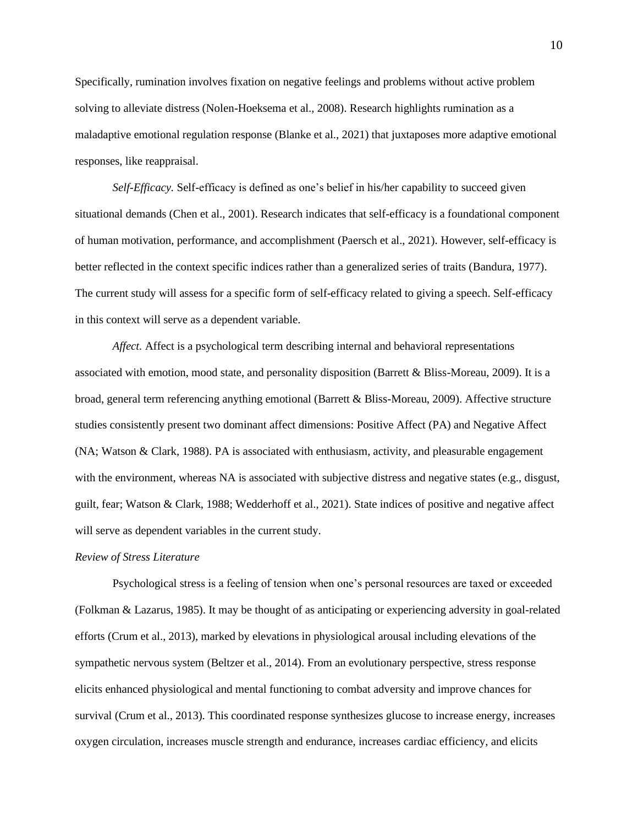Specifically, rumination involves fixation on negative feelings and problems without active problem solving to alleviate distress (Nolen-Hoeksema et al., 2008). Research highlights rumination as a maladaptive emotional regulation response (Blanke et al., 2021) that juxtaposes more adaptive emotional responses, like reappraisal.

*Self-Efficacy.* Self-efficacy is defined as one's belief in his/her capability to succeed given situational demands (Chen et al., 2001). Research indicates that self-efficacy is a foundational component of human motivation, performance, and accomplishment (Paersch et al., 2021). However, self-efficacy is better reflected in the context specific indices rather than a generalized series of traits (Bandura, 1977). The current study will assess for a specific form of self-efficacy related to giving a speech. Self-efficacy in this context will serve as a dependent variable.

*Affect.* Affect is a psychological term describing internal and behavioral representations associated with emotion, mood state, and personality disposition (Barrett & Bliss-Moreau, 2009). It is a broad, general term referencing anything emotional (Barrett & Bliss-Moreau, 2009). Affective structure studies consistently present two dominant affect dimensions: Positive Affect (PA) and Negative Affect (NA; Watson & Clark, 1988). PA is associated with enthusiasm, activity, and pleasurable engagement with the environment, whereas NA is associated with subjective distress and negative states (e.g., disgust, guilt, fear; Watson & Clark, 1988; Wedderhoff et al., 2021). State indices of positive and negative affect will serve as dependent variables in the current study.

# *Review of Stress Literature*

Psychological stress is a feeling of tension when one's personal resources are taxed or exceeded (Folkman & Lazarus, 1985). It may be thought of as anticipating or experiencing adversity in goal-related efforts (Crum et al., 2013), marked by elevations in physiological arousal including elevations of the sympathetic nervous system (Beltzer et al., 2014). From an evolutionary perspective, stress response elicits enhanced physiological and mental functioning to combat adversity and improve chances for survival (Crum et al., 2013). This coordinated response synthesizes glucose to increase energy, increases oxygen circulation, increases muscle strength and endurance, increases cardiac efficiency, and elicits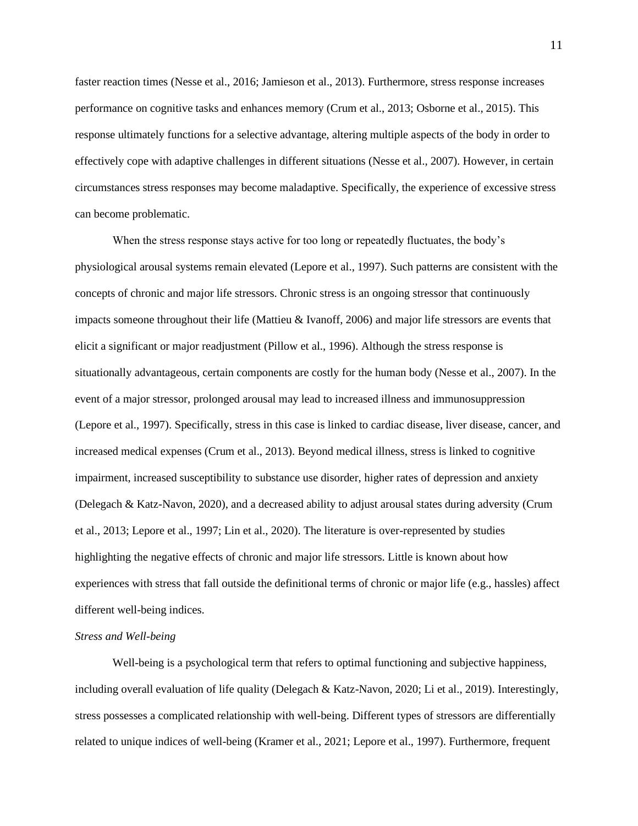faster reaction times (Nesse et al., 2016; Jamieson et al., 2013). Furthermore, stress response increases performance on cognitive tasks and enhances memory (Crum et al., 2013; Osborne et al., 2015). This response ultimately functions for a selective advantage, altering multiple aspects of the body in order to effectively cope with adaptive challenges in different situations (Nesse et al., 2007). However, in certain circumstances stress responses may become maladaptive. Specifically, the experience of excessive stress can become problematic.

When the stress response stays active for too long or repeatedly fluctuates, the body's physiological arousal systems remain elevated (Lepore et al., 1997). Such patterns are consistent with the concepts of chronic and major life stressors. Chronic stress is an ongoing stressor that continuously impacts someone throughout their life (Mattieu & Ivanoff, 2006) and major life stressors are events that elicit a significant or major readjustment (Pillow et al., 1996). Although the stress response is situationally advantageous, certain components are costly for the human body (Nesse et al., 2007). In the event of a major stressor, prolonged arousal may lead to increased illness and immunosuppression (Lepore et al., 1997). Specifically, stress in this case is linked to cardiac disease, liver disease, cancer, and increased medical expenses (Crum et al., 2013). Beyond medical illness, stress is linked to cognitive impairment, increased susceptibility to substance use disorder, higher rates of depression and anxiety (Delegach & Katz-Navon, 2020), and a decreased ability to adjust arousal states during adversity (Crum et al., 2013; Lepore et al., 1997; Lin et al., 2020). The literature is over-represented by studies highlighting the negative effects of chronic and major life stressors. Little is known about how experiences with stress that fall outside the definitional terms of chronic or major life (e.g., hassles) affect different well-being indices.

#### *Stress and Well-being*

Well-being is a psychological term that refers to optimal functioning and subjective happiness, including overall evaluation of life quality (Delegach & Katz-Navon, 2020; Li et al., 2019). Interestingly, stress possesses a complicated relationship with well-being. Different types of stressors are differentially related to unique indices of well-being (Kramer et al., 2021; Lepore et al., 1997). Furthermore, frequent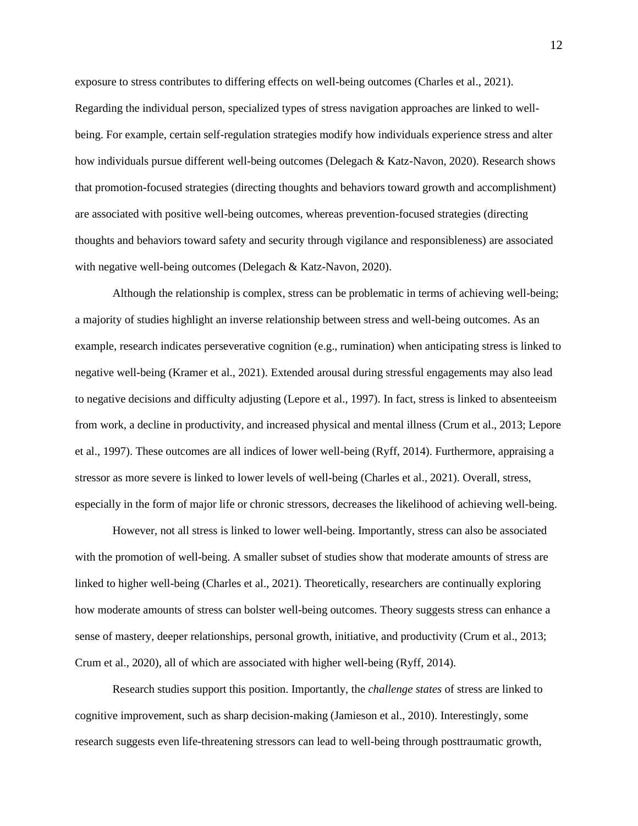exposure to stress contributes to differing effects on well-being outcomes (Charles et al., 2021). Regarding the individual person, specialized types of stress navigation approaches are linked to wellbeing. For example, certain self-regulation strategies modify how individuals experience stress and alter how individuals pursue different well-being outcomes (Delegach & Katz-Navon, 2020). Research shows that promotion-focused strategies (directing thoughts and behaviors toward growth and accomplishment) are associated with positive well-being outcomes, whereas prevention-focused strategies (directing thoughts and behaviors toward safety and security through vigilance and responsibleness) are associated with negative well-being outcomes (Delegach & Katz-Navon, 2020).

Although the relationship is complex, stress can be problematic in terms of achieving well-being; a majority of studies highlight an inverse relationship between stress and well-being outcomes. As an example, research indicates perseverative cognition (e.g., rumination) when anticipating stress is linked to negative well-being (Kramer et al., 2021). Extended arousal during stressful engagements may also lead to negative decisions and difficulty adjusting (Lepore et al., 1997). In fact, stress is linked to absenteeism from work, a decline in productivity, and increased physical and mental illness (Crum et al., 2013; Lepore et al., 1997). These outcomes are all indices of lower well-being (Ryff, 2014). Furthermore, appraising a stressor as more severe is linked to lower levels of well-being (Charles et al., 2021). Overall, stress, especially in the form of major life or chronic stressors, decreases the likelihood of achieving well-being.

However, not all stress is linked to lower well-being. Importantly, stress can also be associated with the promotion of well-being. A smaller subset of studies show that moderate amounts of stress are linked to higher well-being (Charles et al., 2021). Theoretically, researchers are continually exploring how moderate amounts of stress can bolster well-being outcomes. Theory suggests stress can enhance a sense of mastery, deeper relationships, personal growth, initiative, and productivity (Crum et al., 2013; Crum et al., 2020), all of which are associated with higher well-being (Ryff, 2014).

Research studies support this position. Importantly, the *challenge states* of stress are linked to cognitive improvement, such as sharp decision-making (Jamieson et al., 2010). Interestingly, some research suggests even life-threatening stressors can lead to well-being through posttraumatic growth,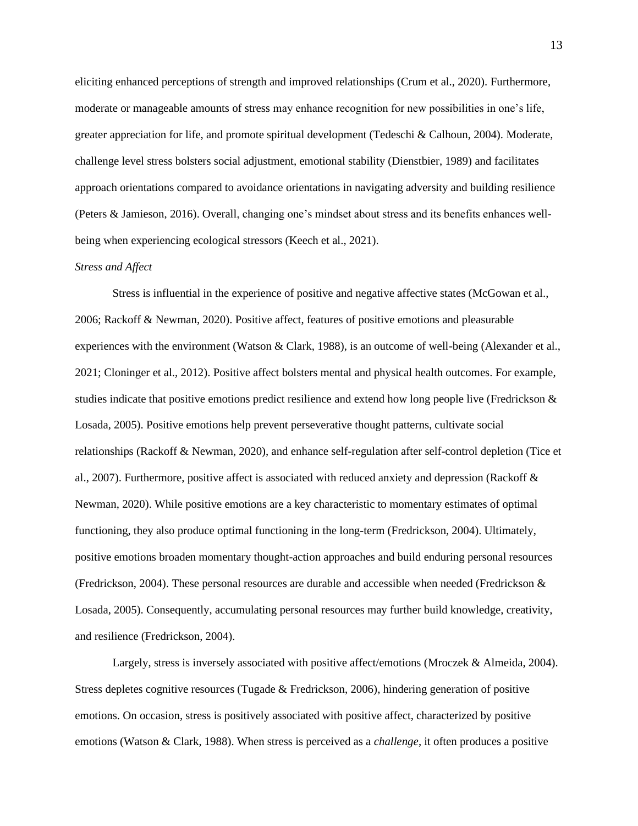eliciting enhanced perceptions of strength and improved relationships (Crum et al., 2020). Furthermore, moderate or manageable amounts of stress may enhance recognition for new possibilities in one's life, greater appreciation for life, and promote spiritual development (Tedeschi & Calhoun, 2004). Moderate, challenge level stress bolsters social adjustment, emotional stability (Dienstbier, 1989) and facilitates approach orientations compared to avoidance orientations in navigating adversity and building resilience (Peters & Jamieson, 2016). Overall, changing one's mindset about stress and its benefits enhances wellbeing when experiencing ecological stressors (Keech et al., 2021).

#### *Stress and Affect*

Stress is influential in the experience of positive and negative affective states (McGowan et al., 2006; Rackoff & Newman, 2020). Positive affect, features of positive emotions and pleasurable experiences with the environment (Watson & Clark, 1988), is an outcome of well-being (Alexander et al., 2021; Cloninger et al., 2012). Positive affect bolsters mental and physical health outcomes. For example, studies indicate that positive emotions predict resilience and extend how long people live (Fredrickson & Losada, 2005). Positive emotions help prevent perseverative thought patterns, cultivate social relationships (Rackoff & Newman, 2020), and enhance self-regulation after self-control depletion (Tice et al., 2007). Furthermore, positive affect is associated with reduced anxiety and depression (Rackoff & Newman, 2020). While positive emotions are a key characteristic to momentary estimates of optimal functioning, they also produce optimal functioning in the long-term (Fredrickson, 2004). Ultimately, positive emotions broaden momentary thought-action approaches and build enduring personal resources (Fredrickson, 2004). These personal resources are durable and accessible when needed (Fredrickson & Losada, 2005). Consequently, accumulating personal resources may further build knowledge, creativity, and resilience (Fredrickson, 2004).

Largely, stress is inversely associated with positive affect/emotions (Mroczek & Almeida, 2004). Stress depletes cognitive resources (Tugade & Fredrickson, 2006), hindering generation of positive emotions. On occasion, stress is positively associated with positive affect, characterized by positive emotions (Watson & Clark, 1988). When stress is perceived as a *challenge*, it often produces a positive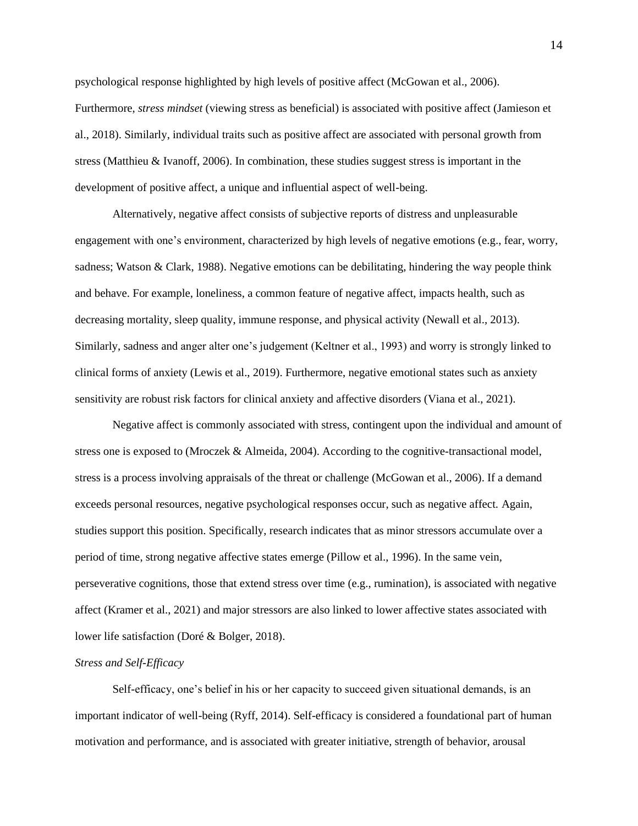psychological response highlighted by high levels of positive affect (McGowan et al., 2006). Furthermore, *stress mindset* (viewing stress as beneficial) is associated with positive affect (Jamieson et al., 2018). Similarly, individual traits such as positive affect are associated with personal growth from stress (Matthieu & Ivanoff, 2006). In combination, these studies suggest stress is important in the development of positive affect, a unique and influential aspect of well-being.

Alternatively, negative affect consists of subjective reports of distress and unpleasurable engagement with one's environment, characterized by high levels of negative emotions (e.g., fear, worry, sadness; Watson & Clark, 1988). Negative emotions can be debilitating, hindering the way people think and behave. For example, loneliness, a common feature of negative affect, impacts health, such as decreasing mortality, sleep quality, immune response, and physical activity (Newall et al., 2013). Similarly, sadness and anger alter one's judgement (Keltner et al., 1993) and worry is strongly linked to clinical forms of anxiety (Lewis et al., 2019). Furthermore, negative emotional states such as anxiety sensitivity are robust risk factors for clinical anxiety and affective disorders (Viana et al., 2021).

Negative affect is commonly associated with stress, contingent upon the individual and amount of stress one is exposed to (Mroczek & Almeida, 2004). According to the cognitive-transactional model, stress is a process involving appraisals of the threat or challenge (McGowan et al., 2006). If a demand exceeds personal resources, negative psychological responses occur, such as negative affect. Again, studies support this position. Specifically, research indicates that as minor stressors accumulate over a period of time, strong negative affective states emerge (Pillow et al., 1996). In the same vein, perseverative cognitions, those that extend stress over time (e.g., rumination), is associated with negative affect (Kramer et al., 2021) and major stressors are also linked to lower affective states associated with lower life satisfaction (Doré & Bolger, 2018).

# *Stress and Self-Efficacy*

Self-efficacy, one's belief in his or her capacity to succeed given situational demands, is an important indicator of well-being (Ryff, 2014). Self-efficacy is considered a foundational part of human motivation and performance, and is associated with greater initiative, strength of behavior, arousal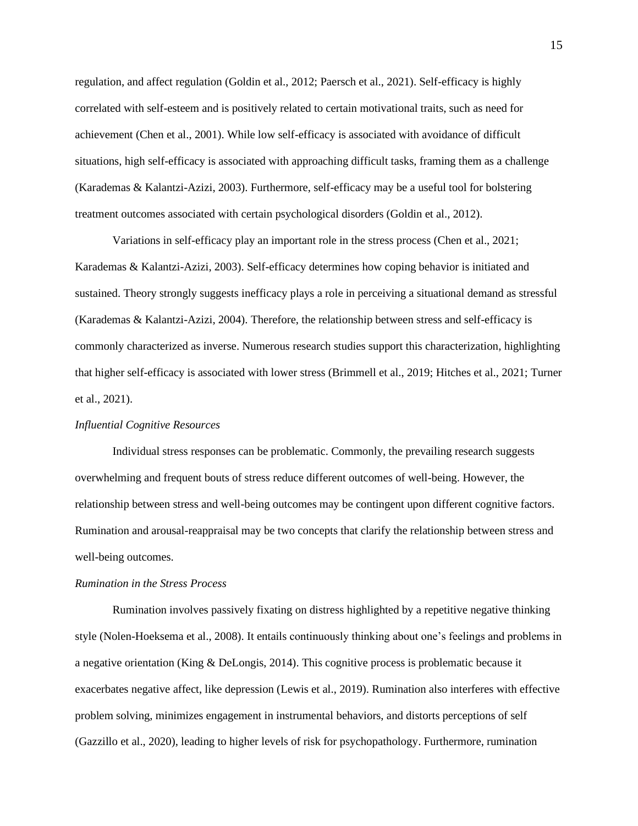regulation, and affect regulation (Goldin et al., 2012; Paersch et al., 2021). Self-efficacy is highly correlated with self-esteem and is positively related to certain motivational traits, such as need for achievement (Chen et al., 2001). While low self-efficacy is associated with avoidance of difficult situations, high self-efficacy is associated with approaching difficult tasks, framing them as a challenge (Karademas & Kalantzi-Azizi, 2003). Furthermore, self-efficacy may be a useful tool for bolstering treatment outcomes associated with certain psychological disorders (Goldin et al., 2012).

Variations in self-efficacy play an important role in the stress process (Chen et al., 2021; Karademas & Kalantzi-Azizi, 2003). Self-efficacy determines how coping behavior is initiated and sustained. Theory strongly suggests inefficacy plays a role in perceiving a situational demand as stressful (Karademas & Kalantzi-Azizi, 2004). Therefore, the relationship between stress and self-efficacy is commonly characterized as inverse. Numerous research studies support this characterization, highlighting that higher self-efficacy is associated with lower stress (Brimmell et al., 2019; Hitches et al., 2021; Turner et al., 2021).

# *Influential Cognitive Resources*

Individual stress responses can be problematic. Commonly, the prevailing research suggests overwhelming and frequent bouts of stress reduce different outcomes of well-being. However, the relationship between stress and well-being outcomes may be contingent upon different cognitive factors. Rumination and arousal-reappraisal may be two concepts that clarify the relationship between stress and well-being outcomes.

#### *Rumination in the Stress Process*

Rumination involves passively fixating on distress highlighted by a repetitive negative thinking style (Nolen-Hoeksema et al., 2008). It entails continuously thinking about one's feelings and problems in a negative orientation (King & DeLongis, 2014). This cognitive process is problematic because it exacerbates negative affect, like depression (Lewis et al., 2019). Rumination also interferes with effective problem solving, minimizes engagement in instrumental behaviors, and distorts perceptions of self (Gazzillo et al., 2020), leading to higher levels of risk for psychopathology. Furthermore, rumination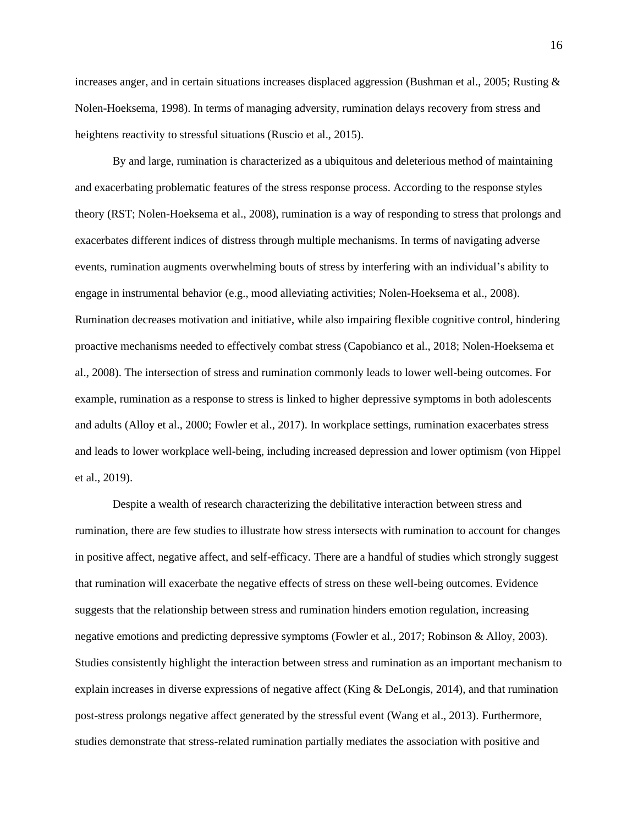increases anger, and in certain situations increases displaced aggression (Bushman et al., 2005; Rusting & Nolen-Hoeksema, 1998). In terms of managing adversity, rumination delays recovery from stress and heightens reactivity to stressful situations (Ruscio et al., 2015).

By and large, rumination is characterized as a ubiquitous and deleterious method of maintaining and exacerbating problematic features of the stress response process. According to the response styles theory (RST; Nolen-Hoeksema et al., 2008), rumination is a way of responding to stress that prolongs and exacerbates different indices of distress through multiple mechanisms. In terms of navigating adverse events, rumination augments overwhelming bouts of stress by interfering with an individual's ability to engage in instrumental behavior (e.g., mood alleviating activities; Nolen-Hoeksema et al., 2008). Rumination decreases motivation and initiative, while also impairing flexible cognitive control, hindering proactive mechanisms needed to effectively combat stress (Capobianco et al., 2018; Nolen-Hoeksema et al., 2008). The intersection of stress and rumination commonly leads to lower well-being outcomes. For example, rumination as a response to stress is linked to higher depressive symptoms in both adolescents and adults (Alloy et al., 2000; Fowler et al., 2017). In workplace settings, rumination exacerbates stress and leads to lower workplace well-being, including increased depression and lower optimism (von Hippel et al., 2019).

Despite a wealth of research characterizing the debilitative interaction between stress and rumination, there are few studies to illustrate how stress intersects with rumination to account for changes in positive affect, negative affect, and self-efficacy. There are a handful of studies which strongly suggest that rumination will exacerbate the negative effects of stress on these well-being outcomes. Evidence suggests that the relationship between stress and rumination hinders emotion regulation, increasing negative emotions and predicting depressive symptoms (Fowler et al., 2017; Robinson & Alloy, 2003). Studies consistently highlight the interaction between stress and rumination as an important mechanism to explain increases in diverse expressions of negative affect (King & DeLongis, 2014), and that rumination post-stress prolongs negative affect generated by the stressful event (Wang et al., 2013). Furthermore, studies demonstrate that stress-related rumination partially mediates the association with positive and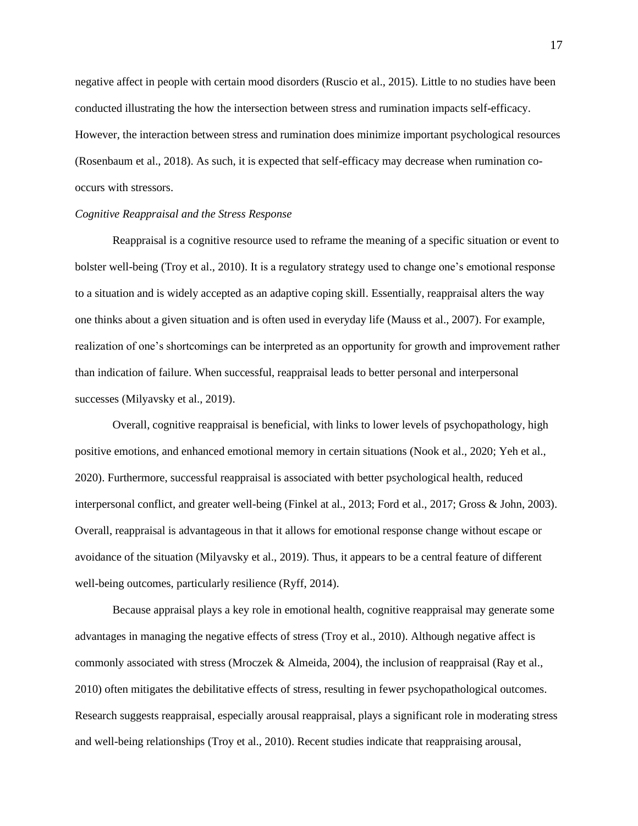negative affect in people with certain mood disorders (Ruscio et al., 2015). Little to no studies have been conducted illustrating the how the intersection between stress and rumination impacts self-efficacy. However, the interaction between stress and rumination does minimize important psychological resources (Rosenbaum et al., 2018). As such, it is expected that self-efficacy may decrease when rumination cooccurs with stressors.

## *Cognitive Reappraisal and the Stress Response*

Reappraisal is a cognitive resource used to reframe the meaning of a specific situation or event to bolster well-being (Troy et al., 2010). It is a regulatory strategy used to change one's emotional response to a situation and is widely accepted as an adaptive coping skill. Essentially, reappraisal alters the way one thinks about a given situation and is often used in everyday life (Mauss et al., 2007). For example, realization of one's shortcomings can be interpreted as an opportunity for growth and improvement rather than indication of failure. When successful, reappraisal leads to better personal and interpersonal successes (Milyavsky et al., 2019).

Overall, cognitive reappraisal is beneficial, with links to lower levels of psychopathology, high positive emotions, and enhanced emotional memory in certain situations (Nook et al., 2020; Yeh et al., 2020). Furthermore, successful reappraisal is associated with better psychological health, reduced interpersonal conflict, and greater well-being (Finkel at al., 2013; Ford et al., 2017; Gross & John, 2003). Overall, reappraisal is advantageous in that it allows for emotional response change without escape or avoidance of the situation (Milyavsky et al., 2019). Thus, it appears to be a central feature of different well-being outcomes, particularly resilience (Ryff, 2014).

Because appraisal plays a key role in emotional health, cognitive reappraisal may generate some advantages in managing the negative effects of stress (Troy et al., 2010). Although negative affect is commonly associated with stress (Mroczek & Almeida, 2004), the inclusion of reappraisal (Ray et al., 2010) often mitigates the debilitative effects of stress, resulting in fewer psychopathological outcomes. Research suggests reappraisal, especially arousal reappraisal, plays a significant role in moderating stress and well-being relationships (Troy et al., 2010). Recent studies indicate that reappraising arousal,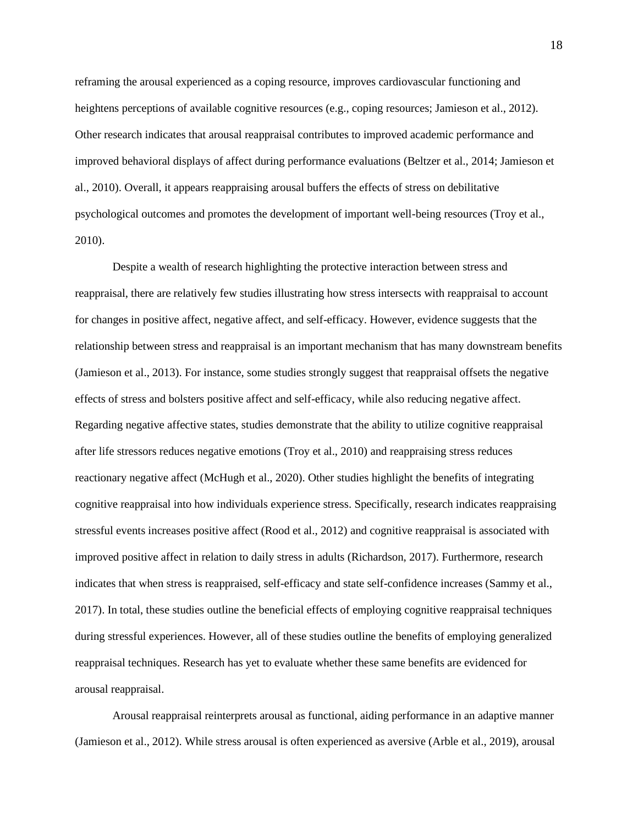reframing the arousal experienced as a coping resource, improves cardiovascular functioning and heightens perceptions of available cognitive resources (e.g., coping resources; Jamieson et al., 2012). Other research indicates that arousal reappraisal contributes to improved academic performance and improved behavioral displays of affect during performance evaluations (Beltzer et al., 2014; Jamieson et al., 2010). Overall, it appears reappraising arousal buffers the effects of stress on debilitative psychological outcomes and promotes the development of important well-being resources (Troy et al., 2010).

Despite a wealth of research highlighting the protective interaction between stress and reappraisal, there are relatively few studies illustrating how stress intersects with reappraisal to account for changes in positive affect, negative affect, and self-efficacy. However, evidence suggests that the relationship between stress and reappraisal is an important mechanism that has many downstream benefits (Jamieson et al., 2013). For instance, some studies strongly suggest that reappraisal offsets the negative effects of stress and bolsters positive affect and self-efficacy, while also reducing negative affect. Regarding negative affective states, studies demonstrate that the ability to utilize cognitive reappraisal after life stressors reduces negative emotions (Troy et al., 2010) and reappraising stress reduces reactionary negative affect (McHugh et al., 2020). Other studies highlight the benefits of integrating cognitive reappraisal into how individuals experience stress. Specifically, research indicates reappraising stressful events increases positive affect (Rood et al., 2012) and cognitive reappraisal is associated with improved positive affect in relation to daily stress in adults (Richardson, 2017). Furthermore, research indicates that when stress is reappraised, self-efficacy and state self-confidence increases (Sammy et al., 2017). In total, these studies outline the beneficial effects of employing cognitive reappraisal techniques during stressful experiences. However, all of these studies outline the benefits of employing generalized reappraisal techniques. Research has yet to evaluate whether these same benefits are evidenced for arousal reappraisal.

Arousal reappraisal reinterprets arousal as functional, aiding performance in an adaptive manner (Jamieson et al., 2012). While stress arousal is often experienced as aversive (Arble et al., 2019), arousal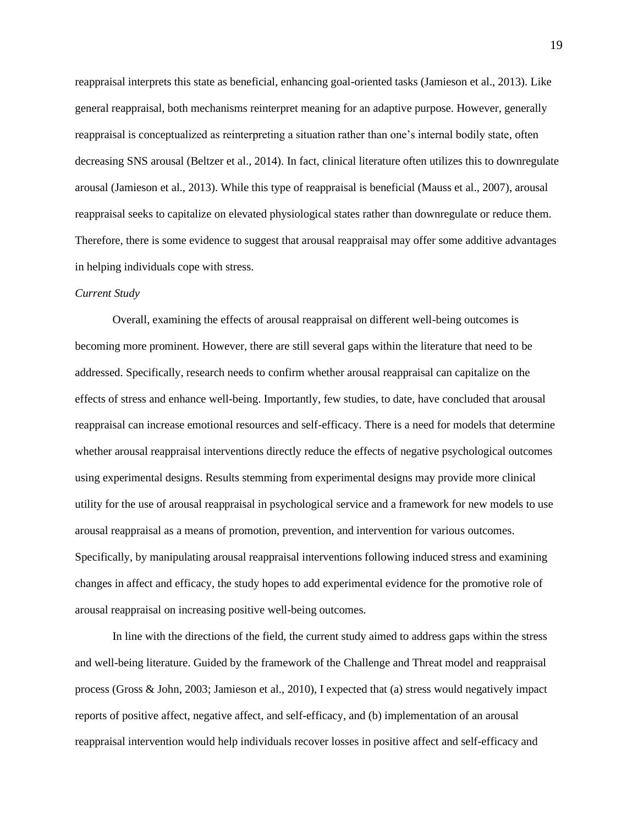reappraisal interprets this state as beneficial, enhancing goal-oriented tasks (Jamieson et al., 2013). Like general reappraisal, both mechanisms reinterpret meaning for an adaptive purpose. However, generally reappraisal is conceptualized as reinterpreting a situation rather than one's internal bodily state, often decreasing SNS arousal (Beltzer et al., 2014). In fact, clinical literature often utilizes this to downregulate arousal (Jamieson et al., 2013). While this type of reappraisal is beneficial (Mauss et al., 2007), arousal reappraisal seeks to capitalize on elevated physiological states rather than downregulate or reduce them. Therefore, there is some evidence to suggest that arousal reappraisal may offer some additive advantages in helping individuals cope with stress.

#### *Current Study*

Overall, examining the effects of arousal reappraisal on different well-being outcomes is becoming more prominent. However, there are still several gaps within the literature that need to be addressed. Specifically, research needs to confirm whether arousal reappraisal can capitalize on the effects of stress and enhance well-being. Importantly, few studies, to date, have concluded that arousal reappraisal can increase emotional resources and self-efficacy. There is a need for models that determine whether arousal reappraisal interventions directly reduce the effects of negative psychological outcomes using experimental designs. Results stemming from experimental designs may provide more clinical utility for the use of arousal reappraisal in psychological service and a framework for new models to use arousal reappraisal as a means of promotion, prevention, and intervention for various outcomes. Specifically, by manipulating arousal reappraisal interventions following induced stress and examining changes in affect and efficacy, the study hopes to add experimental evidence for the promotive role of arousal reappraisal on increasing positive well-being outcomes.

In line with the directions of the field, the current study aimed to address gaps within the stress and well-being literature. Guided by the framework of the Challenge and Threat model and reappraisal process (Gross & John, 2003; Jamieson et al., 2010), I expected that (a) stress would negatively impact reports of positive affect, negative affect, and self-efficacy, and (b) implementation of an arousal reappraisal intervention would help individuals recover losses in positive affect and self-efficacy and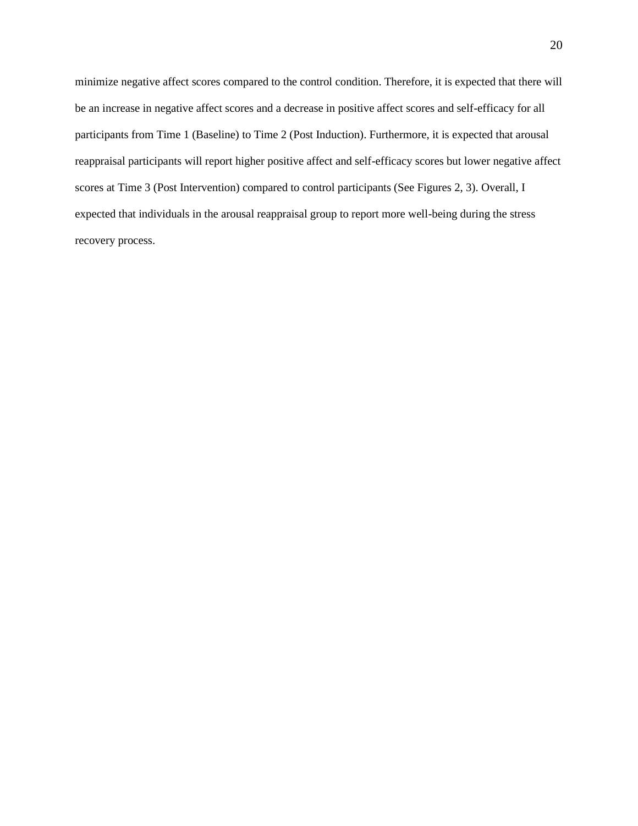minimize negative affect scores compared to the control condition. Therefore, it is expected that there will be an increase in negative affect scores and a decrease in positive affect scores and self-efficacy for all participants from Time 1 (Baseline) to Time 2 (Post Induction). Furthermore, it is expected that arousal reappraisal participants will report higher positive affect and self-efficacy scores but lower negative affect scores at Time 3 (Post Intervention) compared to control participants (See Figures 2, 3). Overall, I expected that individuals in the arousal reappraisal group to report more well-being during the stress recovery process.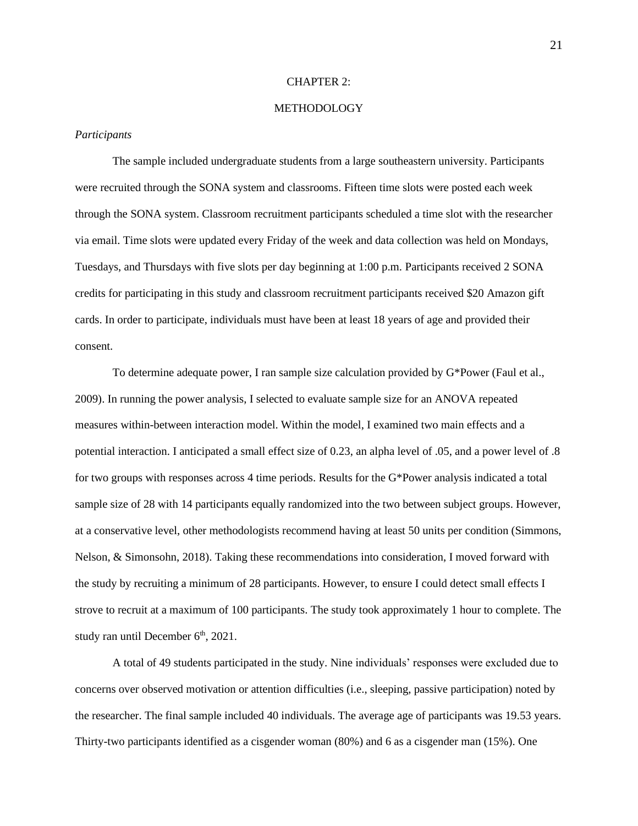#### CHAPTER 2:

# **METHODOLOGY**

#### *Participants*

The sample included undergraduate students from a large southeastern university. Participants were recruited through the SONA system and classrooms. Fifteen time slots were posted each week through the SONA system. Classroom recruitment participants scheduled a time slot with the researcher via email. Time slots were updated every Friday of the week and data collection was held on Mondays, Tuesdays, and Thursdays with five slots per day beginning at 1:00 p.m. Participants received 2 SONA credits for participating in this study and classroom recruitment participants received \$20 Amazon gift cards. In order to participate, individuals must have been at least 18 years of age and provided their consent.

To determine adequate power, I ran sample size calculation provided by G\*Power (Faul et al., 2009). In running the power analysis, I selected to evaluate sample size for an ANOVA repeated measures within-between interaction model. Within the model, I examined two main effects and a potential interaction. I anticipated a small effect size of 0.23, an alpha level of .05, and a power level of .8 for two groups with responses across 4 time periods. Results for the G\*Power analysis indicated a total sample size of 28 with 14 participants equally randomized into the two between subject groups. However, at a conservative level, other methodologists recommend having at least 50 units per condition (Simmons, Nelson, & Simonsohn, 2018). Taking these recommendations into consideration, I moved forward with the study by recruiting a minimum of 28 participants. However, to ensure I could detect small effects I strove to recruit at a maximum of 100 participants. The study took approximately 1 hour to complete. The study ran until December 6<sup>th</sup>, 2021.

A total of 49 students participated in the study. Nine individuals' responses were excluded due to concerns over observed motivation or attention difficulties (i.e., sleeping, passive participation) noted by the researcher. The final sample included 40 individuals. The average age of participants was 19.53 years. Thirty-two participants identified as a cisgender woman (80%) and 6 as a cisgender man (15%). One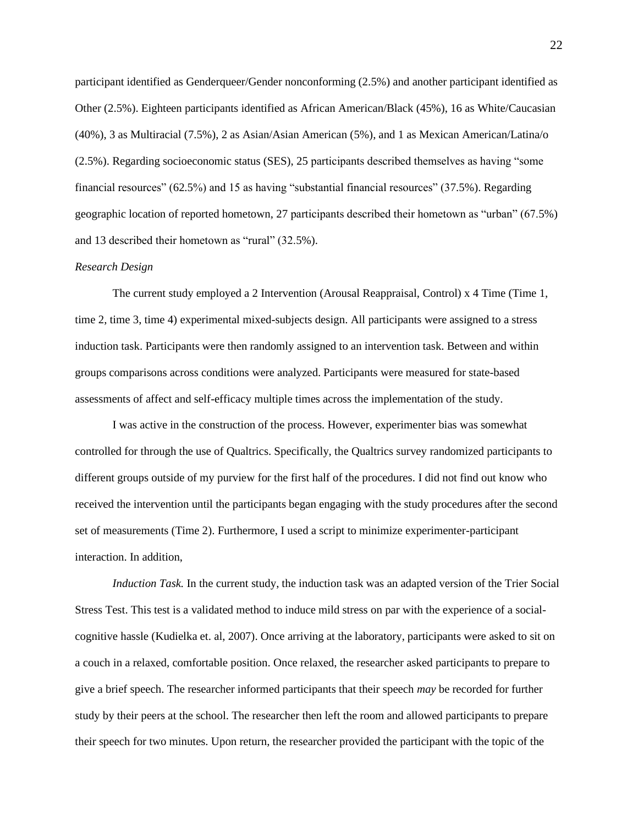participant identified as Genderqueer/Gender nonconforming (2.5%) and another participant identified as Other (2.5%). Eighteen participants identified as African American/Black (45%), 16 as White/Caucasian (40%), 3 as Multiracial (7.5%), 2 as Asian/Asian American (5%), and 1 as Mexican American/Latina/o (2.5%). Regarding socioeconomic status (SES), 25 participants described themselves as having "some financial resources" (62.5%) and 15 as having "substantial financial resources" (37.5%). Regarding geographic location of reported hometown, 27 participants described their hometown as "urban" (67.5%) and 13 described their hometown as "rural" (32.5%).

#### *Research Design*

The current study employed a 2 Intervention (Arousal Reappraisal, Control) x 4 Time (Time 1, time 2, time 3, time 4) experimental mixed-subjects design. All participants were assigned to a stress induction task. Participants were then randomly assigned to an intervention task. Between and within groups comparisons across conditions were analyzed. Participants were measured for state-based assessments of affect and self-efficacy multiple times across the implementation of the study.

I was active in the construction of the process. However, experimenter bias was somewhat controlled for through the use of Qualtrics. Specifically, the Qualtrics survey randomized participants to different groups outside of my purview for the first half of the procedures. I did not find out know who received the intervention until the participants began engaging with the study procedures after the second set of measurements (Time 2). Furthermore, I used a script to minimize experimenter-participant interaction. In addition,

*Induction Task.* In the current study, the induction task was an adapted version of the Trier Social Stress Test. This test is a validated method to induce mild stress on par with the experience of a socialcognitive hassle (Kudielka et. al, 2007). Once arriving at the laboratory, participants were asked to sit on a couch in a relaxed, comfortable position. Once relaxed, the researcher asked participants to prepare to give a brief speech. The researcher informed participants that their speech *may* be recorded for further study by their peers at the school. The researcher then left the room and allowed participants to prepare their speech for two minutes. Upon return, the researcher provided the participant with the topic of the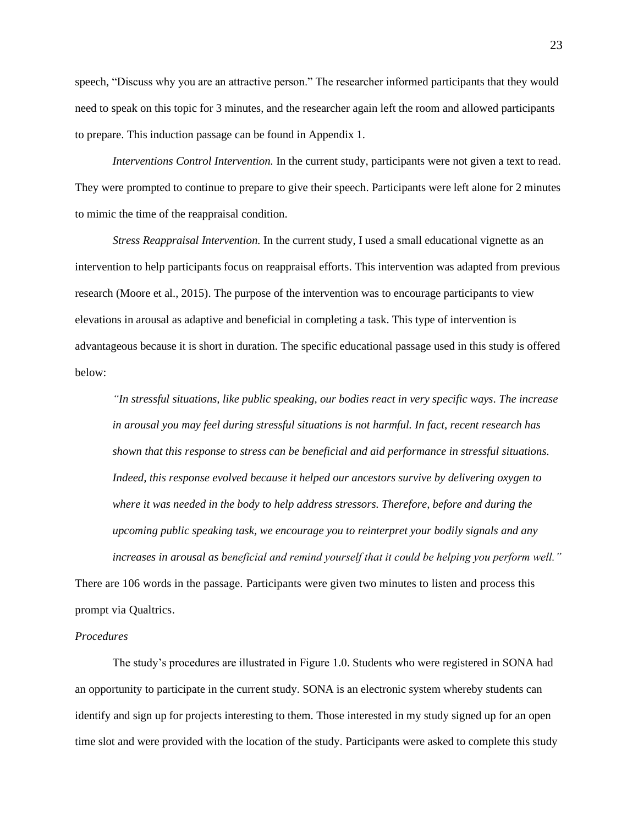speech, "Discuss why you are an attractive person." The researcher informed participants that they would need to speak on this topic for 3 minutes, and the researcher again left the room and allowed participants to prepare. This induction passage can be found in Appendix 1.

*Interventions Control Intervention.* In the current study, participants were not given a text to read. They were prompted to continue to prepare to give their speech. Participants were left alone for 2 minutes to mimic the time of the reappraisal condition.

*Stress Reappraisal Intervention.* In the current study, I used a small educational vignette as an intervention to help participants focus on reappraisal efforts. This intervention was adapted from previous research (Moore et al., 2015). The purpose of the intervention was to encourage participants to view elevations in arousal as adaptive and beneficial in completing a task. This type of intervention is advantageous because it is short in duration. The specific educational passage used in this study is offered below:

*"In stressful situations, like public speaking, our bodies react in very specific ways. The increase in arousal you may feel during stressful situations is not harmful. In fact, recent research has shown that this response to stress can be beneficial and aid performance in stressful situations. Indeed, this response evolved because it helped our ancestors survive by delivering oxygen to where it was needed in the body to help address stressors. Therefore, before and during the upcoming public speaking task, we encourage you to reinterpret your bodily signals and any increases in arousal as beneficial and remind yourself that it could be helping you perform well."*

There are 106 words in the passage. Participants were given two minutes to listen and process this prompt via Qualtrics.

# *Procedures*

The study's procedures are illustrated in Figure 1.0. Students who were registered in SONA had an opportunity to participate in the current study. SONA is an electronic system whereby students can identify and sign up for projects interesting to them. Those interested in my study signed up for an open time slot and were provided with the location of the study. Participants were asked to complete this study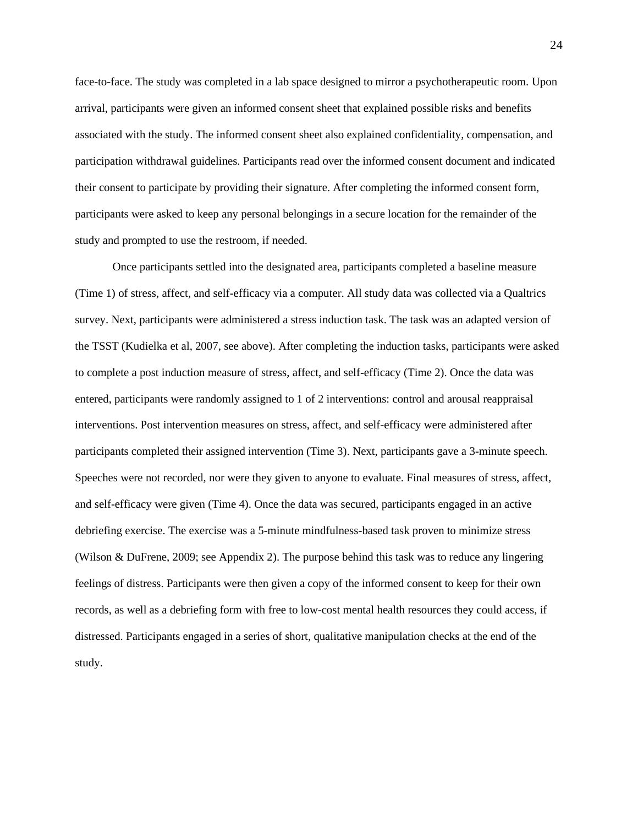face-to-face. The study was completed in a lab space designed to mirror a psychotherapeutic room. Upon arrival, participants were given an informed consent sheet that explained possible risks and benefits associated with the study. The informed consent sheet also explained confidentiality, compensation, and participation withdrawal guidelines. Participants read over the informed consent document and indicated their consent to participate by providing their signature. After completing the informed consent form, participants were asked to keep any personal belongings in a secure location for the remainder of the study and prompted to use the restroom, if needed.

Once participants settled into the designated area, participants completed a baseline measure (Time 1) of stress, affect, and self-efficacy via a computer. All study data was collected via a Qualtrics survey. Next, participants were administered a stress induction task. The task was an adapted version of the TSST (Kudielka et al, 2007, see above). After completing the induction tasks, participants were asked to complete a post induction measure of stress, affect, and self-efficacy (Time 2). Once the data was entered, participants were randomly assigned to 1 of 2 interventions: control and arousal reappraisal interventions. Post intervention measures on stress, affect, and self-efficacy were administered after participants completed their assigned intervention (Time 3). Next, participants gave a 3-minute speech. Speeches were not recorded, nor were they given to anyone to evaluate. Final measures of stress, affect, and self-efficacy were given (Time 4). Once the data was secured, participants engaged in an active debriefing exercise. The exercise was a 5-minute mindfulness-based task proven to minimize stress (Wilson & DuFrene, 2009; see Appendix 2). The purpose behind this task was to reduce any lingering feelings of distress. Participants were then given a copy of the informed consent to keep for their own records, as well as a debriefing form with free to low-cost mental health resources they could access, if distressed. Participants engaged in a series of short, qualitative manipulation checks at the end of the study.

24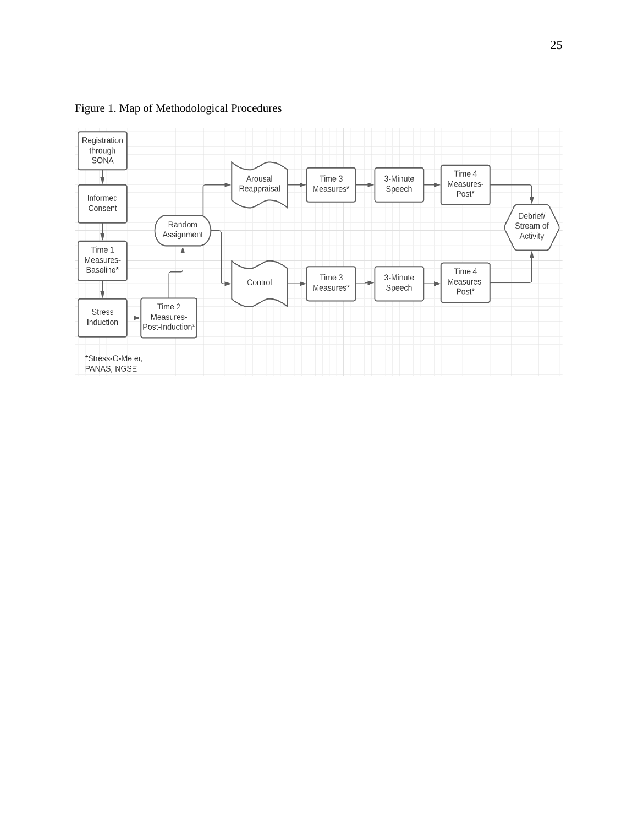

Figure 1. Map of Methodological Procedures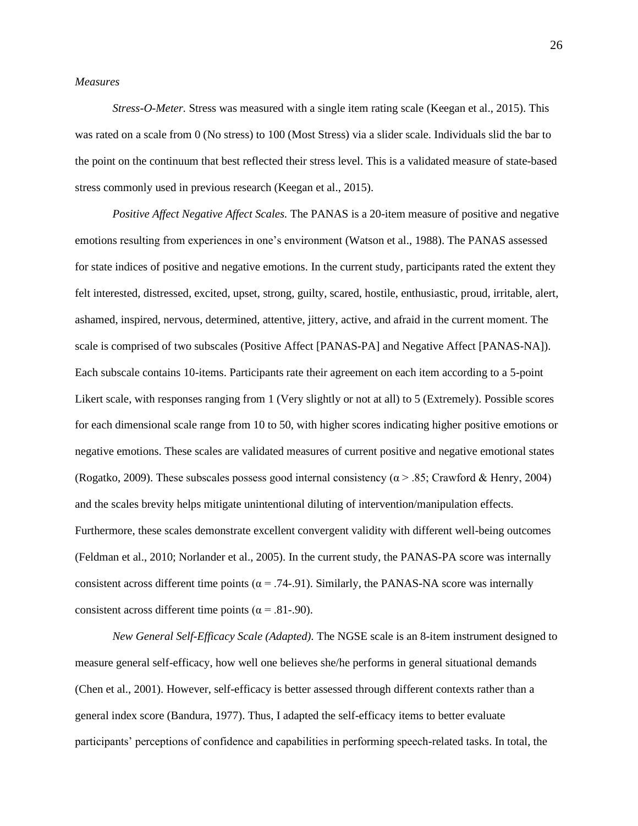#### *Measures*

*Stress-O-Meter.* Stress was measured with a single item rating scale (Keegan et al., 2015). This was rated on a scale from 0 (No stress) to 100 (Most Stress) via a slider scale. Individuals slid the bar to the point on the continuum that best reflected their stress level. This is a validated measure of state-based stress commonly used in previous research (Keegan et al., 2015).

*Positive Affect Negative Affect Scales.* The PANAS is a 20-item measure of positive and negative emotions resulting from experiences in one's environment (Watson et al., 1988). The PANAS assessed for state indices of positive and negative emotions. In the current study, participants rated the extent they felt interested, distressed, excited, upset, strong, guilty, scared, hostile, enthusiastic, proud, irritable, alert, ashamed, inspired, nervous, determined, attentive, jittery, active, and afraid in the current moment. The scale is comprised of two subscales (Positive Affect [PANAS-PA] and Negative Affect [PANAS-NA]). Each subscale contains 10-items. Participants rate their agreement on each item according to a 5-point Likert scale, with responses ranging from 1 (Very slightly or not at all) to 5 (Extremely). Possible scores for each dimensional scale range from 10 to 50, with higher scores indicating higher positive emotions or negative emotions. These scales are validated measures of current positive and negative emotional states (Rogatko, 2009). These subscales possess good internal consistency ( $\alpha$  > .85; Crawford & Henry, 2004) and the scales brevity helps mitigate unintentional diluting of intervention/manipulation effects. Furthermore, these scales demonstrate excellent convergent validity with different well-being outcomes (Feldman et al., 2010; Norlander et al., 2005). In the current study, the PANAS-PA score was internally consistent across different time points ( $\alpha$  = .74-.91). Similarly, the PANAS-NA score was internally consistent across different time points ( $\alpha$  = .81-.90).

*New General Self-Efficacy Scale (Adapted).* The NGSE scale is an 8-item instrument designed to measure general self-efficacy, how well one believes she/he performs in general situational demands (Chen et al., 2001). However, self-efficacy is better assessed through different contexts rather than a general index score (Bandura, 1977). Thus, I adapted the self-efficacy items to better evaluate participants' perceptions of confidence and capabilities in performing speech-related tasks. In total, the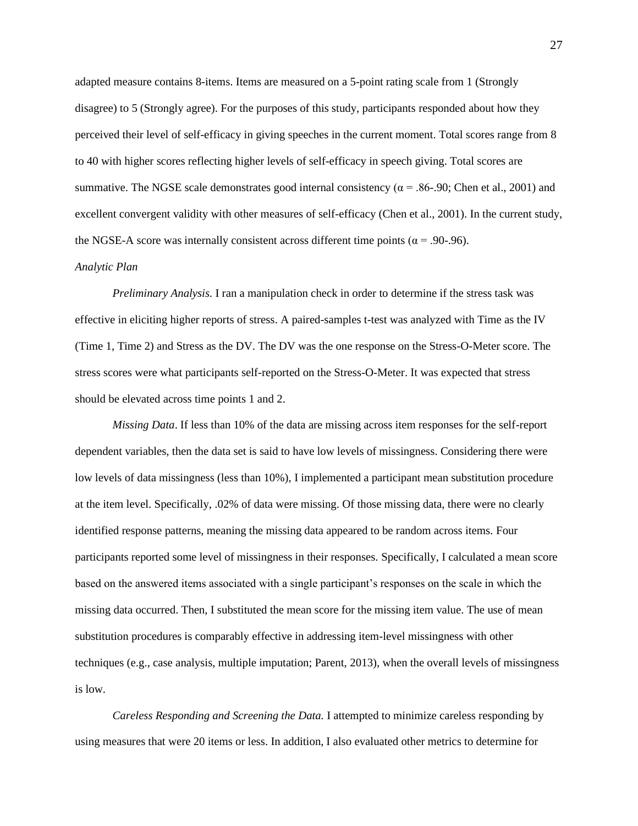adapted measure contains 8-items. Items are measured on a 5-point rating scale from 1 (Strongly disagree) to 5 (Strongly agree). For the purposes of this study, participants responded about how they perceived their level of self-efficacy in giving speeches in the current moment. Total scores range from 8 to 40 with higher scores reflecting higher levels of self-efficacy in speech giving. Total scores are summative. The NGSE scale demonstrates good internal consistency ( $\alpha$  = .86-.90; Chen et al., 2001) and excellent convergent validity with other measures of self-efficacy (Chen et al., 2001). In the current study, the NGSE-A score was internally consistent across different time points ( $\alpha$  = .90-.96).

#### *Analytic Plan*

*Preliminary Analysis.* I ran a manipulation check in order to determine if the stress task was effective in eliciting higher reports of stress. A paired-samples t-test was analyzed with Time as the IV (Time 1, Time 2) and Stress as the DV. The DV was the one response on the Stress-O-Meter score. The stress scores were what participants self-reported on the Stress-O-Meter. It was expected that stress should be elevated across time points 1 and 2.

*Missing Data*. If less than 10% of the data are missing across item responses for the self-report dependent variables, then the data set is said to have low levels of missingness. Considering there were low levels of data missingness (less than 10%), I implemented a participant mean substitution procedure at the item level. Specifically, .02% of data were missing. Of those missing data, there were no clearly identified response patterns, meaning the missing data appeared to be random across items. Four participants reported some level of missingness in their responses. Specifically, I calculated a mean score based on the answered items associated with a single participant's responses on the scale in which the missing data occurred. Then, I substituted the mean score for the missing item value. The use of mean substitution procedures is comparably effective in addressing item-level missingness with other techniques (e.g., case analysis, multiple imputation; Parent, 2013), when the overall levels of missingness is low.

*Careless Responding and Screening the Data.* I attempted to minimize careless responding by using measures that were 20 items or less. In addition, I also evaluated other metrics to determine for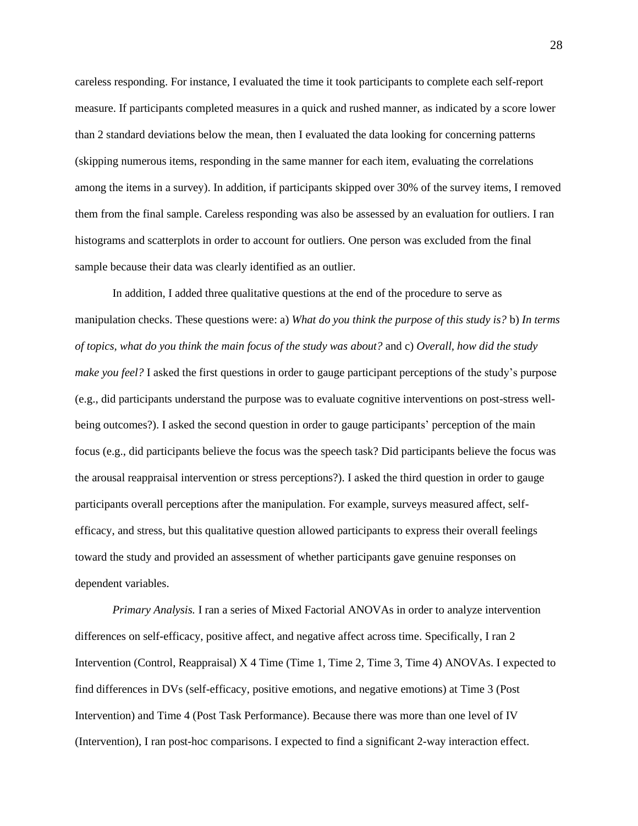careless responding. For instance, I evaluated the time it took participants to complete each self-report measure. If participants completed measures in a quick and rushed manner, as indicated by a score lower than 2 standard deviations below the mean, then I evaluated the data looking for concerning patterns (skipping numerous items, responding in the same manner for each item, evaluating the correlations among the items in a survey). In addition, if participants skipped over 30% of the survey items, I removed them from the final sample. Careless responding was also be assessed by an evaluation for outliers. I ran histograms and scatterplots in order to account for outliers. One person was excluded from the final sample because their data was clearly identified as an outlier.

In addition, I added three qualitative questions at the end of the procedure to serve as manipulation checks. These questions were: a) *What do you think the purpose of this study is?* b) *In terms of topics, what do you think the main focus of the study was about?* and c) *Overall, how did the study make you feel?* I asked the first questions in order to gauge participant perceptions of the study's purpose (e.g., did participants understand the purpose was to evaluate cognitive interventions on post-stress wellbeing outcomes?). I asked the second question in order to gauge participants' perception of the main focus (e.g., did participants believe the focus was the speech task? Did participants believe the focus was the arousal reappraisal intervention or stress perceptions?). I asked the third question in order to gauge participants overall perceptions after the manipulation. For example, surveys measured affect, selfefficacy, and stress, but this qualitative question allowed participants to express their overall feelings toward the study and provided an assessment of whether participants gave genuine responses on dependent variables.

*Primary Analysis.* I ran a series of Mixed Factorial ANOVAs in order to analyze intervention differences on self-efficacy, positive affect, and negative affect across time. Specifically, I ran 2 Intervention (Control, Reappraisal) X 4 Time (Time 1, Time 2, Time 3, Time 4) ANOVAs. I expected to find differences in DVs (self-efficacy, positive emotions, and negative emotions) at Time 3 (Post Intervention) and Time 4 (Post Task Performance). Because there was more than one level of IV (Intervention), I ran post-hoc comparisons. I expected to find a significant 2-way interaction effect.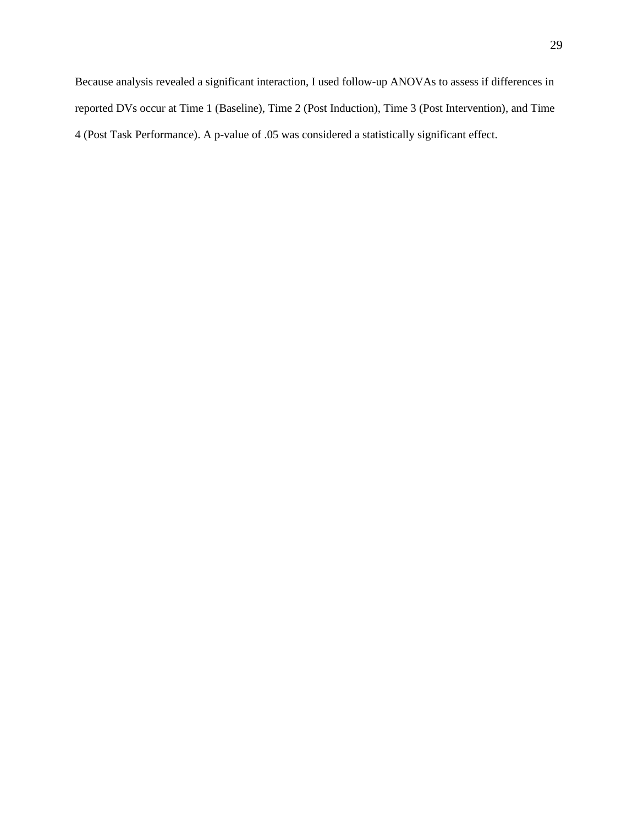Because analysis revealed a significant interaction, I used follow-up ANOVAs to assess if differences in reported DVs occur at Time 1 (Baseline), Time 2 (Post Induction), Time 3 (Post Intervention), and Time 4 (Post Task Performance). A p-value of .05 was considered a statistically significant effect.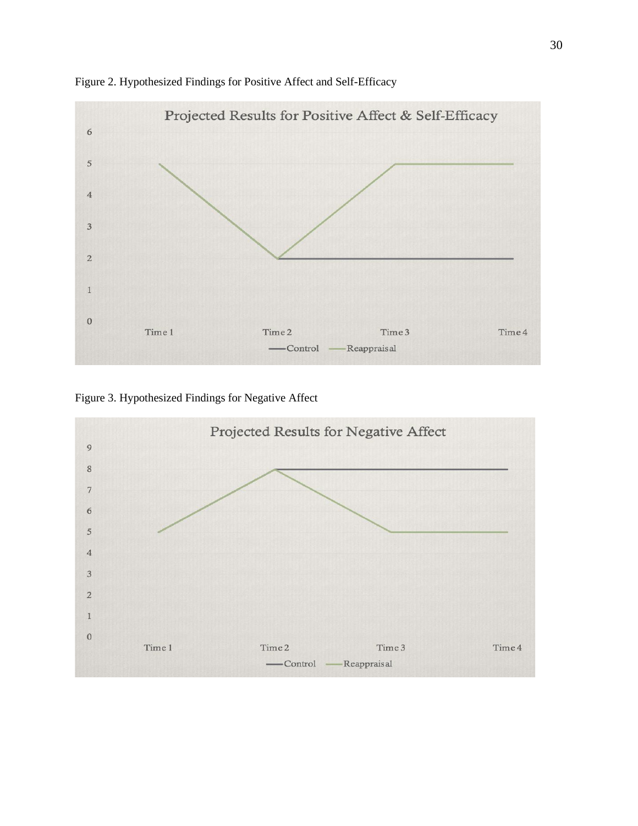

Figure 2. Hypothesized Findings for Positive Affect and Self-Efficacy

Figure 3. Hypothesized Findings for Negative Affect

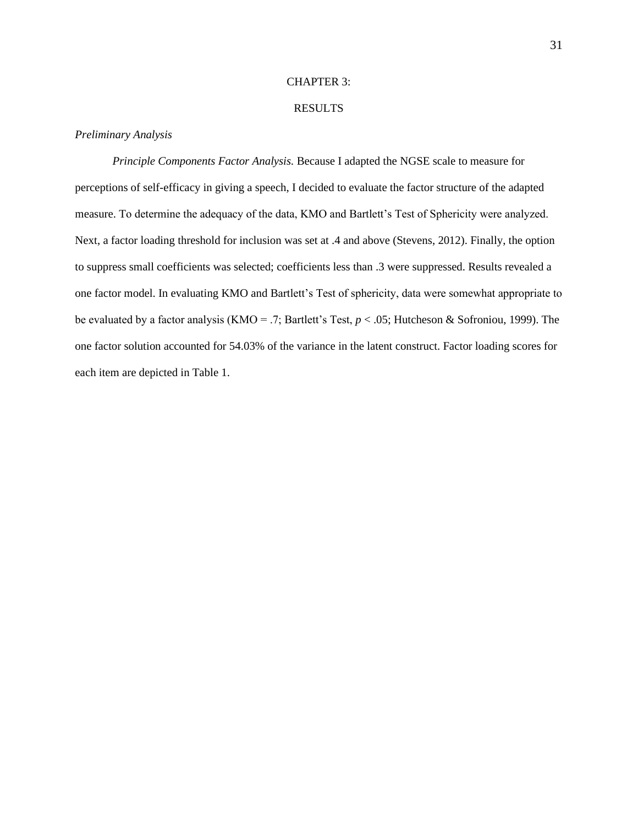# CHAPTER 3:

# RESULTS

#### *Preliminary Analysis*

*Principle Components Factor Analysis.* Because I adapted the NGSE scale to measure for perceptions of self-efficacy in giving a speech, I decided to evaluate the factor structure of the adapted measure. To determine the adequacy of the data, KMO and Bartlett's Test of Sphericity were analyzed. Next, a factor loading threshold for inclusion was set at .4 and above (Stevens, 2012). Finally, the option to suppress small coefficients was selected; coefficients less than .3 were suppressed. Results revealed a one factor model. In evaluating KMO and Bartlett's Test of sphericity, data were somewhat appropriate to be evaluated by a factor analysis (KMO = .7; Bartlett's Test, *p* < .05; Hutcheson & Sofroniou, 1999). The one factor solution accounted for 54.03% of the variance in the latent construct. Factor loading scores for each item are depicted in Table 1.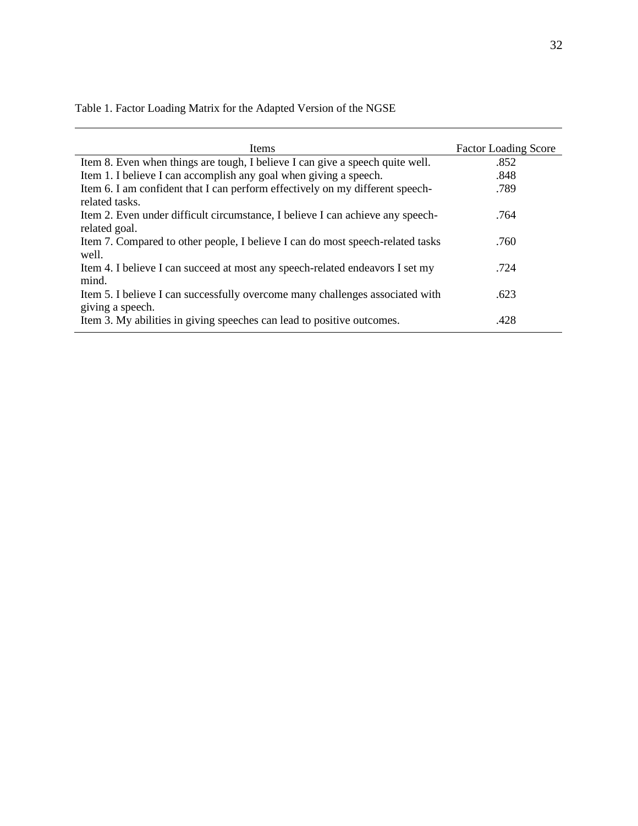| Items                                                                          | <b>Factor Loading Score</b> |
|--------------------------------------------------------------------------------|-----------------------------|
| Item 8. Even when things are tough, I believe I can give a speech quite well.  | .852                        |
| Item 1. I believe I can accomplish any goal when giving a speech.              | .848                        |
| Item 6. I am confident that I can perform effectively on my different speech-  | .789                        |
| related tasks.                                                                 |                             |
| Item 2. Even under difficult circumstance, I believe I can achieve any speech- | .764                        |
| related goal.                                                                  |                             |
| Item 7. Compared to other people, I believe I can do most speech-related tasks | .760                        |
| well.                                                                          |                             |
| Item 4. I believe I can succeed at most any speech-related endeavors I set my  | .724                        |
| mind.                                                                          |                             |
| Item 5. I believe I can successfully overcome many challenges associated with  | .623                        |
| giving a speech.                                                               |                             |
| Item 3. My abilities in giving speeches can lead to positive outcomes.         | .428                        |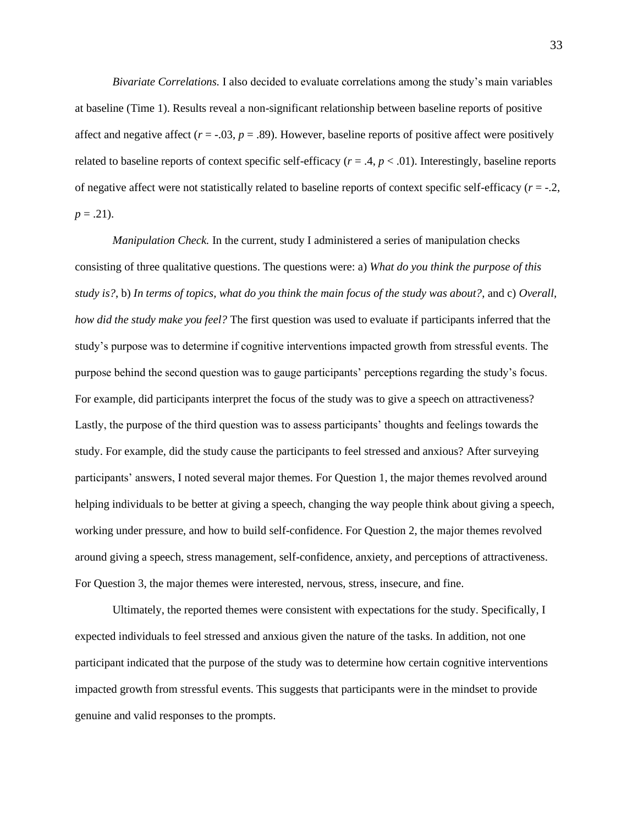*Bivariate Correlations.* I also decided to evaluate correlations among the study's main variables at baseline (Time 1). Results reveal a non-significant relationship between baseline reports of positive affect and negative affect  $(r = -.03, p = .89)$ . However, baseline reports of positive affect were positively related to baseline reports of context specific self-efficacy  $(r = .4, p < .01)$ . Interestingly, baseline reports of negative affect were not statistically related to baseline reports of context specific self-efficacy (*r* = -.2,  $p = .21$ ).

*Manipulation Check.* In the current, study I administered a series of manipulation checks consisting of three qualitative questions. The questions were: a) *What do you think the purpose of this study is?*, b) *In terms of topics, what do you think the main focus of the study was about?*, and c) *Overall, how did the study make you feel?* The first question was used to evaluate if participants inferred that the study's purpose was to determine if cognitive interventions impacted growth from stressful events. The purpose behind the second question was to gauge participants' perceptions regarding the study's focus. For example, did participants interpret the focus of the study was to give a speech on attractiveness? Lastly, the purpose of the third question was to assess participants' thoughts and feelings towards the study. For example, did the study cause the participants to feel stressed and anxious? After surveying participants' answers, I noted several major themes. For Question 1, the major themes revolved around helping individuals to be better at giving a speech, changing the way people think about giving a speech, working under pressure, and how to build self-confidence. For Question 2, the major themes revolved around giving a speech, stress management, self-confidence, anxiety, and perceptions of attractiveness. For Question 3, the major themes were interested, nervous, stress, insecure, and fine.

Ultimately, the reported themes were consistent with expectations for the study. Specifically, I expected individuals to feel stressed and anxious given the nature of the tasks. In addition, not one participant indicated that the purpose of the study was to determine how certain cognitive interventions impacted growth from stressful events. This suggests that participants were in the mindset to provide genuine and valid responses to the prompts.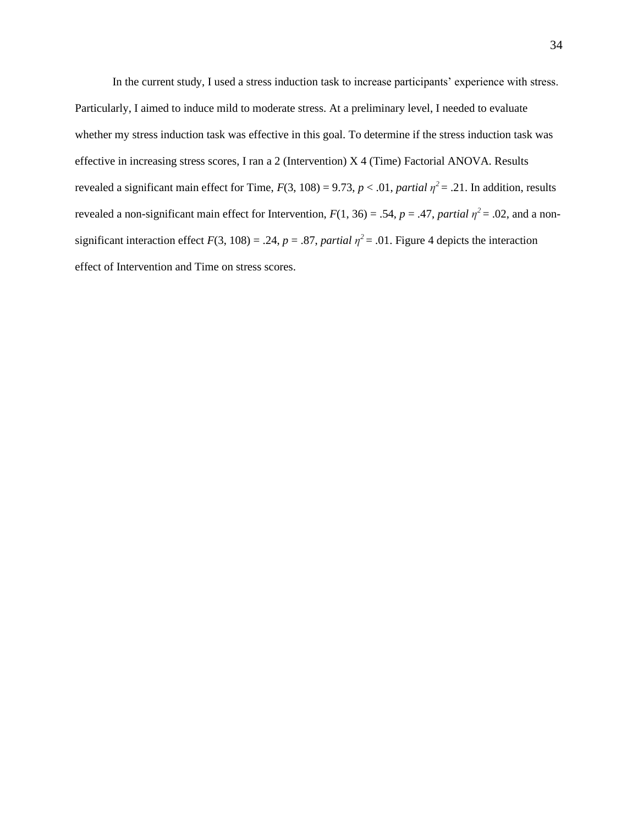In the current study, I used a stress induction task to increase participants' experience with stress. Particularly, I aimed to induce mild to moderate stress. At a preliminary level, I needed to evaluate whether my stress induction task was effective in this goal. To determine if the stress induction task was effective in increasing stress scores, I ran a 2 (Intervention) X 4 (Time) Factorial ANOVA. Results revealed a significant main effect for Time,  $F(3, 108) = 9.73$ ,  $p < .01$ , *partial*  $\eta^2 = .21$ . In addition, results revealed a non-significant main effect for Intervention,  $F(1, 36) = .54$ ,  $p = .47$ , *partial*  $\eta^2 = .02$ , and a nonsignificant interaction effect  $F(3, 108) = .24$ ,  $p = .87$ , *partial*  $\eta^2 = .01$ . Figure 4 depicts the interaction effect of Intervention and Time on stress scores.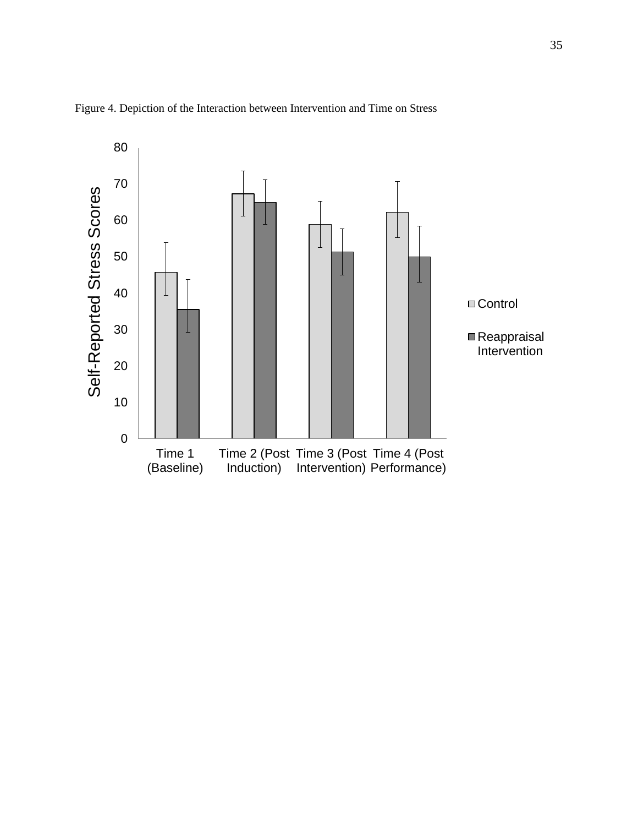

Figure 4. Depiction of the Interaction between Intervention and Time on Stress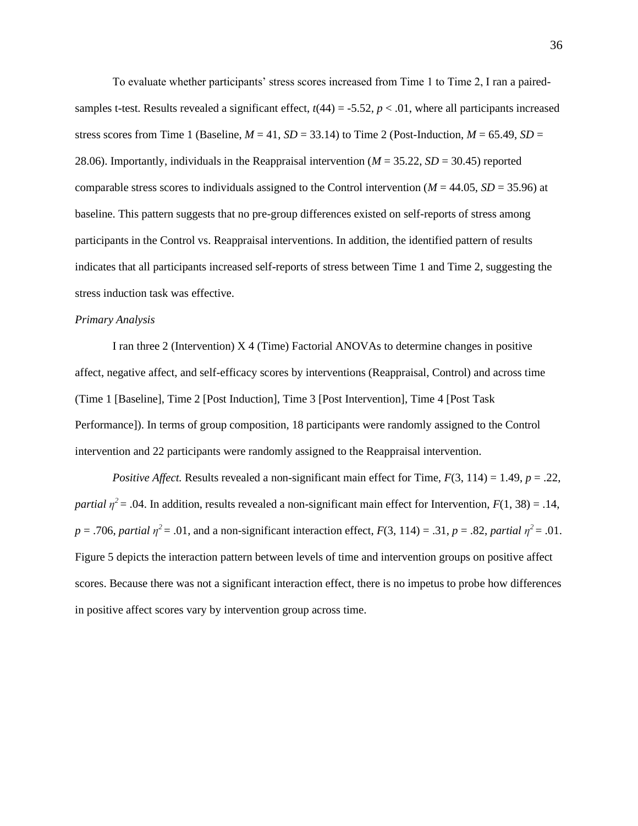To evaluate whether participants' stress scores increased from Time 1 to Time 2, I ran a pairedsamples t-test. Results revealed a significant effect,  $t(44) = -5.52$ ,  $p < .01$ , where all participants increased stress scores from Time 1 (Baseline,  $M = 41$ ,  $SD = 33.14$ ) to Time 2 (Post-Induction,  $M = 65.49$ ,  $SD =$ 28.06). Importantly, individuals in the Reappraisal intervention (*M* = 35.22, *SD* = 30.45) reported comparable stress scores to individuals assigned to the Control intervention ( $M = 44.05$ ,  $SD = 35.96$ ) at baseline. This pattern suggests that no pre-group differences existed on self-reports of stress among participants in the Control vs. Reappraisal interventions. In addition, the identified pattern of results indicates that all participants increased self-reports of stress between Time 1 and Time 2, suggesting the stress induction task was effective.

#### *Primary Analysis*

I ran three 2 (Intervention) X 4 (Time) Factorial ANOVAs to determine changes in positive affect, negative affect, and self-efficacy scores by interventions (Reappraisal, Control) and across time (Time 1 [Baseline], Time 2 [Post Induction], Time 3 [Post Intervention], Time 4 [Post Task Performance]). In terms of group composition, 18 participants were randomly assigned to the Control intervention and 22 participants were randomly assigned to the Reappraisal intervention.

*Positive Affect.* Results revealed a non-significant main effect for Time,  $F(3, 114) = 1.49$ ,  $p = .22$ , *partial*  $\eta^2$  = .04. In addition, results revealed a non-significant main effect for Intervention, *F*(1, 38) = .14,  $p = .706$ , *partial*  $\eta^2 = .01$ , and a non-significant interaction effect,  $F(3, 114) = .31$ ,  $p = .82$ , *partial*  $\eta^2 = .01$ . Figure 5 depicts the interaction pattern between levels of time and intervention groups on positive affect scores. Because there was not a significant interaction effect, there is no impetus to probe how differences in positive affect scores vary by intervention group across time.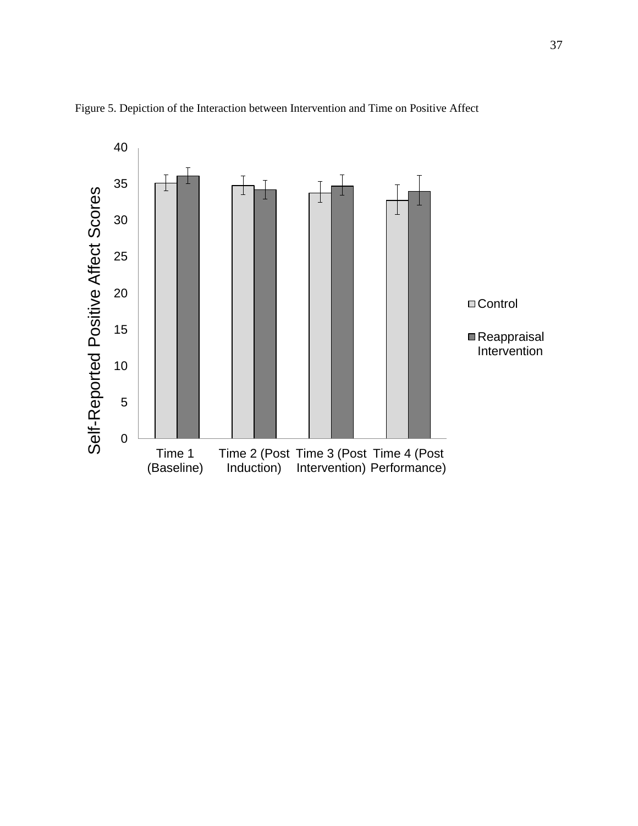

Figure 5. Depiction of the Interaction between Intervention and Time on Positive Affect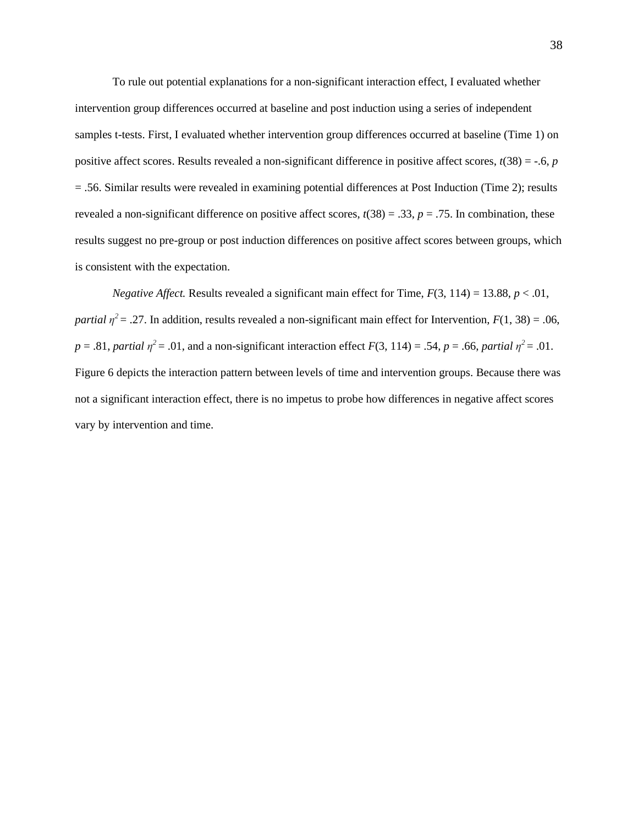To rule out potential explanations for a non-significant interaction effect, I evaluated whether intervention group differences occurred at baseline and post induction using a series of independent samples t-tests. First, I evaluated whether intervention group differences occurred at baseline (Time 1) on positive affect scores. Results revealed a non-significant difference in positive affect scores,  $t(38) = -.6, p$ = .56. Similar results were revealed in examining potential differences at Post Induction (Time 2); results revealed a non-significant difference on positive affect scores,  $t(38) = .33$ ,  $p = .75$ . In combination, these results suggest no pre-group or post induction differences on positive affect scores between groups, which is consistent with the expectation.

*Negative Affect.* Results revealed a significant main effect for Time,  $F(3, 114) = 13.88$ ,  $p < .01$ , *partial*  $\eta^2 = .27$ . In addition, results revealed a non-significant main effect for Intervention,  $F(1, 38) = .06$ ,  $p = .81$ , *partial*  $\eta^2 = .01$ , and a non-significant interaction effect  $F(3, 114) = .54$ ,  $p = .66$ , *partial*  $\eta^2 = .01$ . Figure 6 depicts the interaction pattern between levels of time and intervention groups. Because there was not a significant interaction effect, there is no impetus to probe how differences in negative affect scores vary by intervention and time.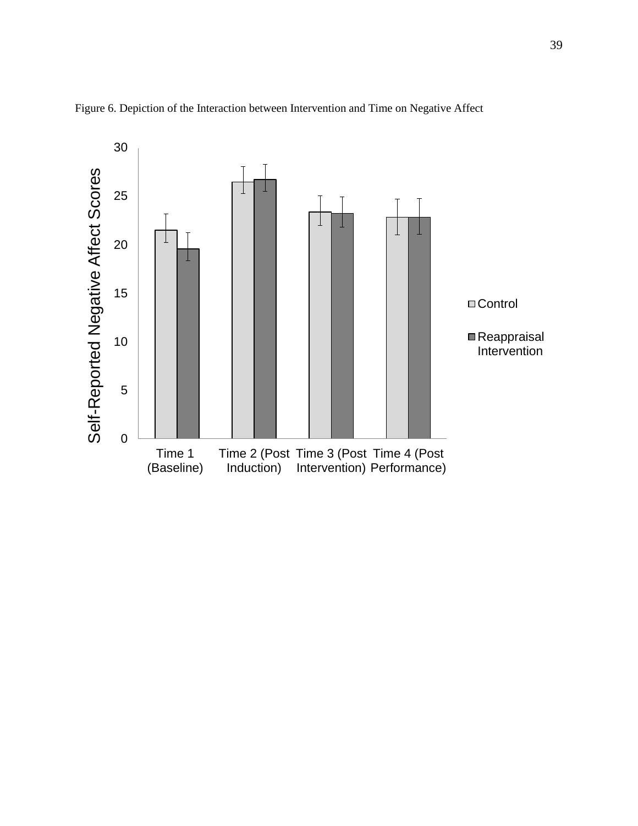

Figure 6. Depiction of the Interaction between Intervention and Time on Negative Affect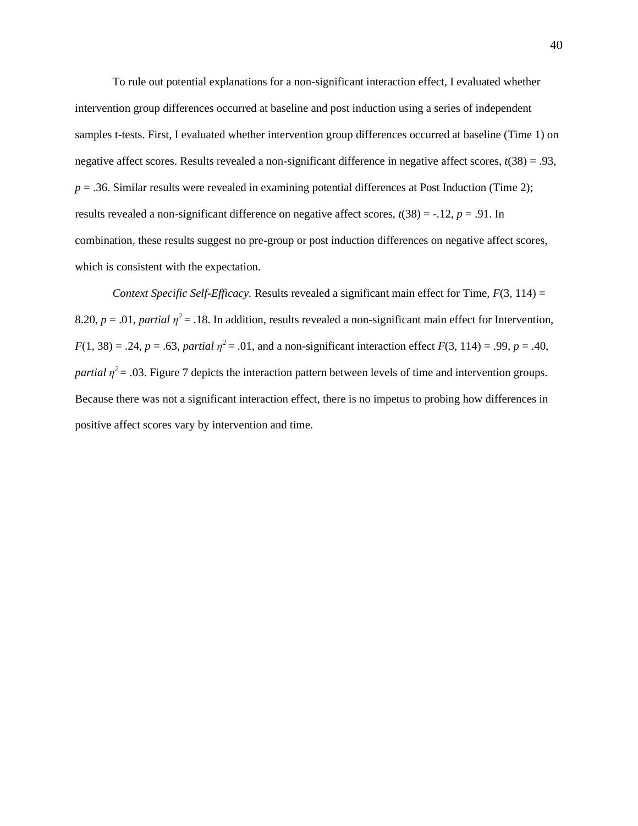To rule out potential explanations for a non-significant interaction effect, I evaluated whether intervention group differences occurred at baseline and post induction using a series of independent samples t-tests. First, I evaluated whether intervention group differences occurred at baseline (Time 1) on negative affect scores. Results revealed a non-significant difference in negative affect scores, *t*(38) = .93,  $p = 0.36$ . Similar results were revealed in examining potential differences at Post Induction (Time 2); results revealed a non-significant difference on negative affect scores,  $t(38) = -.12$ ,  $p = .91$ . In combination, these results suggest no pre-group or post induction differences on negative affect scores, which is consistent with the expectation.

*Context Specific Self-Efficacy.* Results revealed a significant main effect for Time,  $F(3, 114) =$ 8.20,  $p = .01$ , *partial*  $\eta^2 = .18$ . In addition, results revealed a non-significant main effect for Intervention,  $F(1, 38) = .24$ ,  $p = .63$ , *partial*  $\eta^2 = .01$ , and a non-significant interaction effect  $F(3, 114) = .99$ ,  $p = .40$ , *partial*  $\eta^2$  = .03. Figure 7 depicts the interaction pattern between levels of time and intervention groups. Because there was not a significant interaction effect, there is no impetus to probing how differences in positive affect scores vary by intervention and time.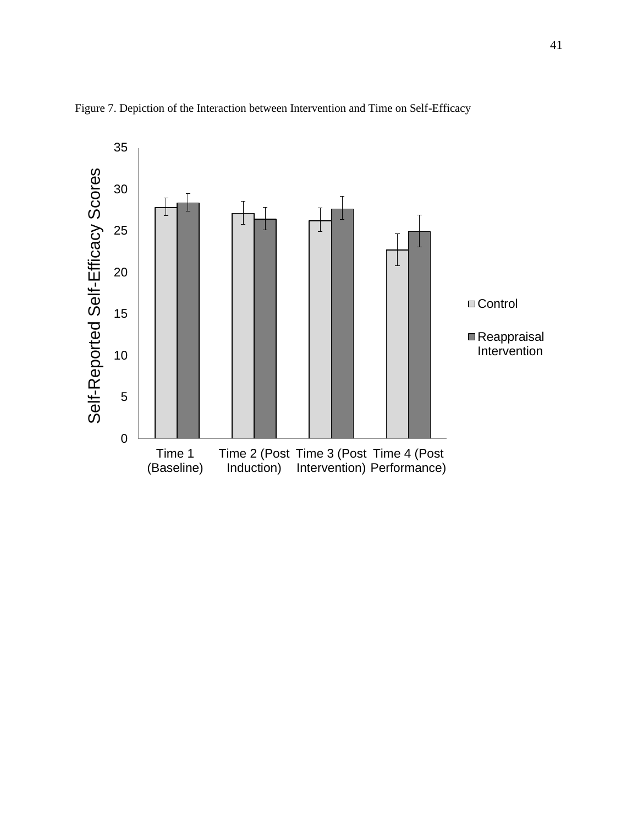

Figure 7. Depiction of the Interaction between Intervention and Time on Self-Efficacy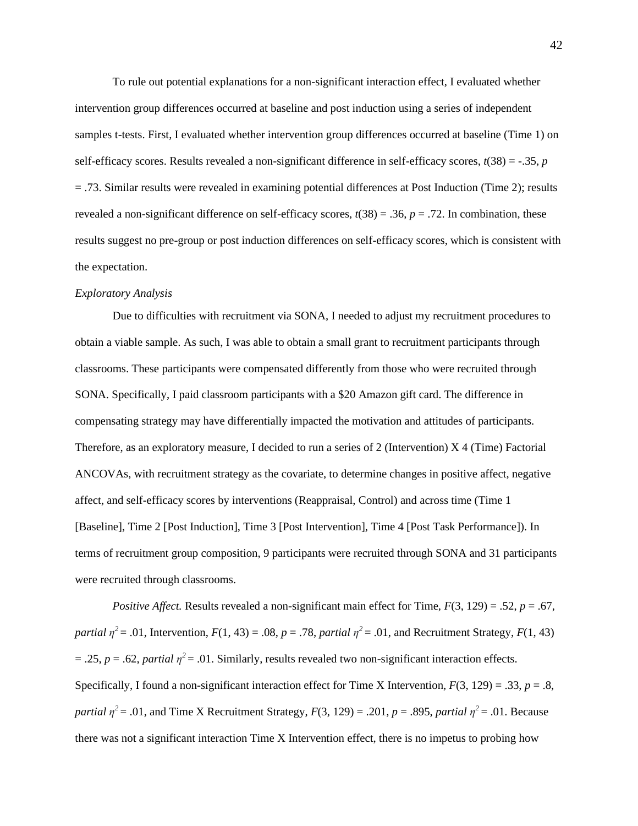To rule out potential explanations for a non-significant interaction effect, I evaluated whether intervention group differences occurred at baseline and post induction using a series of independent samples t-tests. First, I evaluated whether intervention group differences occurred at baseline (Time 1) on self-efficacy scores. Results revealed a non-significant difference in self-efficacy scores,  $t(38) = -0.35$ , *p* = .73. Similar results were revealed in examining potential differences at Post Induction (Time 2); results revealed a non-significant difference on self-efficacy scores,  $t(38) = .36$ ,  $p = .72$ . In combination, these results suggest no pre-group or post induction differences on self-efficacy scores, which is consistent with the expectation.

#### *Exploratory Analysis*

Due to difficulties with recruitment via SONA, I needed to adjust my recruitment procedures to obtain a viable sample. As such, I was able to obtain a small grant to recruitment participants through classrooms. These participants were compensated differently from those who were recruited through SONA. Specifically, I paid classroom participants with a \$20 Amazon gift card. The difference in compensating strategy may have differentially impacted the motivation and attitudes of participants. Therefore, as an exploratory measure, I decided to run a series of 2 (Intervention) X 4 (Time) Factorial ANCOVAs, with recruitment strategy as the covariate, to determine changes in positive affect, negative affect, and self-efficacy scores by interventions (Reappraisal, Control) and across time (Time 1 [Baseline], Time 2 [Post Induction], Time 3 [Post Intervention], Time 4 [Post Task Performance]). In terms of recruitment group composition, 9 participants were recruited through SONA and 31 participants were recruited through classrooms.

*Positive Affect.* Results revealed a non-significant main effect for Time,  $F(3, 129) = .52$ ,  $p = .67$ , *partial*  $\eta^2 = .01$ , Intervention,  $F(1, 43) = .08$ ,  $p = .78$ , *partial*  $\eta^2 = .01$ , and Recruitment Strategy,  $F(1, 43)$  $= .25$ ,  $p = .62$ , *partial*  $\eta^2 = .01$ . Similarly, results revealed two non-significant interaction effects. Specifically, I found a non-significant interaction effect for Time X Intervention,  $F(3, 129) = .33$ ,  $p = .8$ , *partial*  $\eta^2$  = .01, and Time X Recruitment Strategy, *F*(3, 129) = .201, *p* = .895, *partial*  $\eta^2$  = .01. Because there was not a significant interaction Time X Intervention effect, there is no impetus to probing how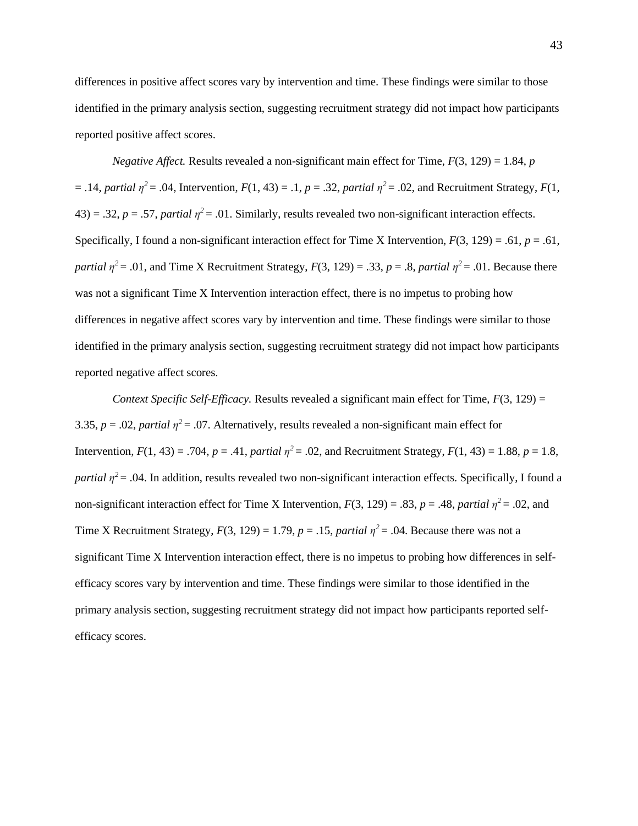differences in positive affect scores vary by intervention and time. These findings were similar to those identified in the primary analysis section, suggesting recruitment strategy did not impact how participants reported positive affect scores.

*Negative Affect.* Results revealed a non-significant main effect for Time,  $F(3, 129) = 1.84$ , *p*  $=$  .14, *partial*  $\eta^2 = .04$ , Intervention,  $F(1, 43) = .1$ ,  $p = .32$ , *partial*  $\eta^2 = .02$ , and Recruitment Strategy,  $F(1, 43) = .1$  $(43) = .32, p = .57,$  *partial*  $\eta^2 = .01$ . Similarly, results revealed two non-significant interaction effects. Specifically, I found a non-significant interaction effect for Time X Intervention,  $F(3, 129) = .61$ ,  $p = .61$ , *partial*  $\eta^2$  = .01, and Time X Recruitment Strategy,  $F(3, 129)$  = .33,  $p$  = .8, *partial*  $\eta^2$  = .01. Because there was not a significant Time X Intervention interaction effect, there is no impetus to probing how differences in negative affect scores vary by intervention and time. These findings were similar to those identified in the primary analysis section, suggesting recruitment strategy did not impact how participants reported negative affect scores.

*Context Specific Self-Efficacy.* Results revealed a significant main effect for Time,  $F(3, 129) =$ 3.35,  $p = .02$ , *partial*  $\eta^2 = .07$ . Alternatively, results revealed a non-significant main effect for Intervention,  $F(1, 43) = .704$ ,  $p = .41$ , *partial*  $\eta^2 = .02$ , and Recruitment Strategy,  $F(1, 43) = 1.88$ ,  $p = 1.8$ , *partial*  $\eta^2$  = .04. In addition, results revealed two non-significant interaction effects. Specifically, I found a non-significant interaction effect for Time X Intervention,  $F(3, 129) = .83$ ,  $p = .48$ , *partial*  $\eta^2 = .02$ , and Time X Recruitment Strategy,  $F(3, 129) = 1.79$ ,  $p = .15$ , *partial*  $\eta^2 = .04$ . Because there was not a significant Time X Intervention interaction effect, there is no impetus to probing how differences in selfefficacy scores vary by intervention and time. These findings were similar to those identified in the primary analysis section, suggesting recruitment strategy did not impact how participants reported selfefficacy scores.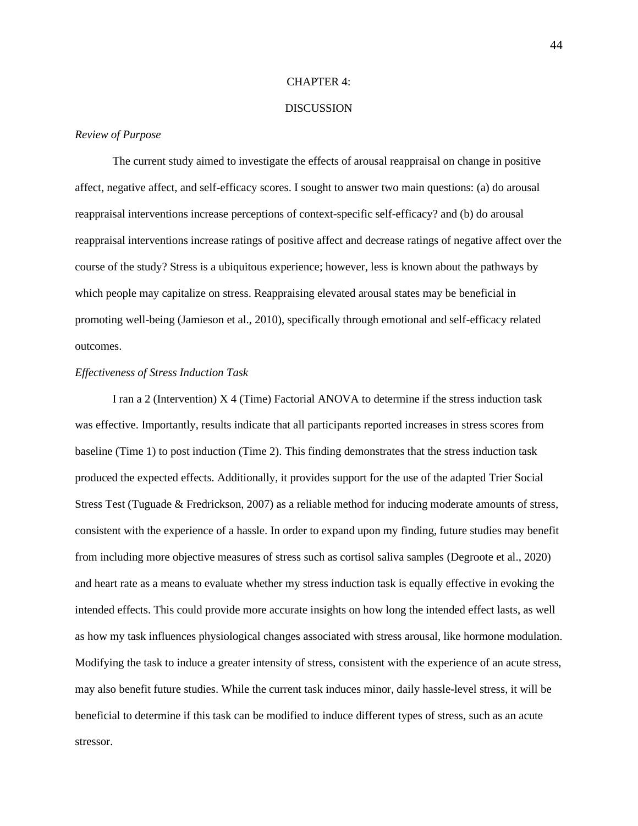#### CHAPTER 4:

# DISCUSSION

#### *Review of Purpose*

The current study aimed to investigate the effects of arousal reappraisal on change in positive affect, negative affect, and self-efficacy scores. I sought to answer two main questions: (a) do arousal reappraisal interventions increase perceptions of context-specific self-efficacy? and (b) do arousal reappraisal interventions increase ratings of positive affect and decrease ratings of negative affect over the course of the study? Stress is a ubiquitous experience; however, less is known about the pathways by which people may capitalize on stress. Reappraising elevated arousal states may be beneficial in promoting well-being (Jamieson et al., 2010), specifically through emotional and self-efficacy related outcomes.

# *Effectiveness of Stress Induction Task*

I ran a 2 (Intervention) X 4 (Time) Factorial ANOVA to determine if the stress induction task was effective. Importantly, results indicate that all participants reported increases in stress scores from baseline (Time 1) to post induction (Time 2). This finding demonstrates that the stress induction task produced the expected effects. Additionally, it provides support for the use of the adapted Trier Social Stress Test (Tuguade & Fredrickson, 2007) as a reliable method for inducing moderate amounts of stress, consistent with the experience of a hassle. In order to expand upon my finding, future studies may benefit from including more objective measures of stress such as cortisol saliva samples (Degroote et al., 2020) and heart rate as a means to evaluate whether my stress induction task is equally effective in evoking the intended effects. This could provide more accurate insights on how long the intended effect lasts, as well as how my task influences physiological changes associated with stress arousal, like hormone modulation. Modifying the task to induce a greater intensity of stress, consistent with the experience of an acute stress, may also benefit future studies. While the current task induces minor, daily hassle-level stress, it will be beneficial to determine if this task can be modified to induce different types of stress, such as an acute stressor.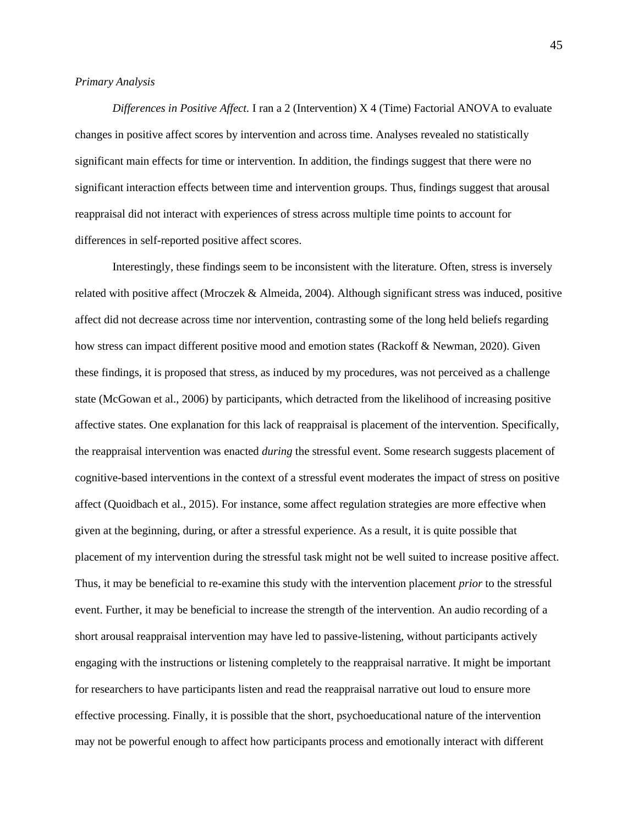# *Primary Analysis*

*Differences in Positive Affect.* I ran a 2 (Intervention) X 4 (Time) Factorial ANOVA to evaluate changes in positive affect scores by intervention and across time. Analyses revealed no statistically significant main effects for time or intervention. In addition, the findings suggest that there were no significant interaction effects between time and intervention groups. Thus, findings suggest that arousal reappraisal did not interact with experiences of stress across multiple time points to account for differences in self-reported positive affect scores.

Interestingly, these findings seem to be inconsistent with the literature. Often, stress is inversely related with positive affect (Mroczek & Almeida, 2004). Although significant stress was induced, positive affect did not decrease across time nor intervention, contrasting some of the long held beliefs regarding how stress can impact different positive mood and emotion states (Rackoff & Newman, 2020). Given these findings, it is proposed that stress, as induced by my procedures, was not perceived as a challenge state (McGowan et al., 2006) by participants, which detracted from the likelihood of increasing positive affective states. One explanation for this lack of reappraisal is placement of the intervention. Specifically, the reappraisal intervention was enacted *during* the stressful event. Some research suggests placement of cognitive-based interventions in the context of a stressful event moderates the impact of stress on positive affect (Quoidbach et al., 2015). For instance, some affect regulation strategies are more effective when given at the beginning, during, or after a stressful experience. As a result, it is quite possible that placement of my intervention during the stressful task might not be well suited to increase positive affect. Thus, it may be beneficial to re-examine this study with the intervention placement *prior* to the stressful event. Further, it may be beneficial to increase the strength of the intervention. An audio recording of a short arousal reappraisal intervention may have led to passive-listening, without participants actively engaging with the instructions or listening completely to the reappraisal narrative. It might be important for researchers to have participants listen and read the reappraisal narrative out loud to ensure more effective processing. Finally, it is possible that the short, psychoeducational nature of the intervention may not be powerful enough to affect how participants process and emotionally interact with different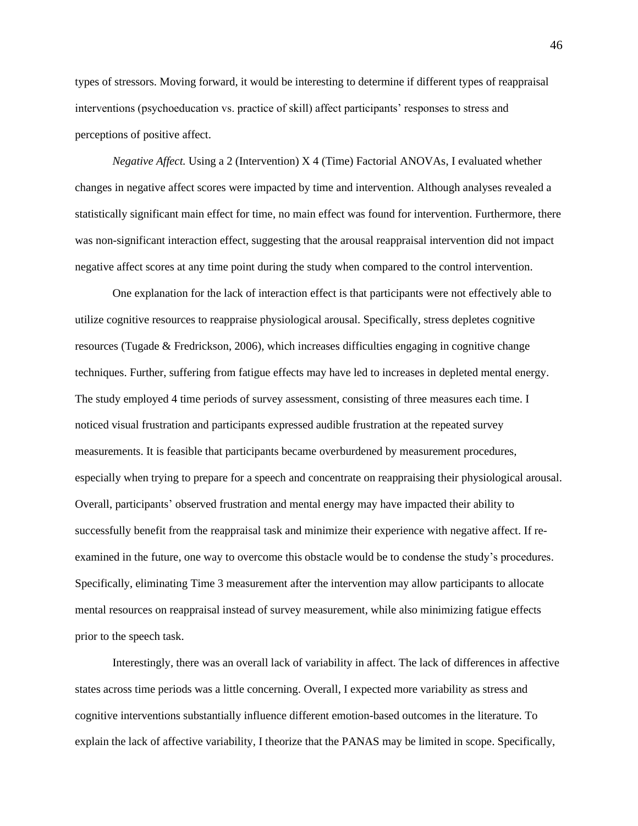types of stressors. Moving forward, it would be interesting to determine if different types of reappraisal interventions (psychoeducation vs. practice of skill) affect participants' responses to stress and perceptions of positive affect.

*Negative Affect.* Using a 2 (Intervention) X 4 (Time) Factorial ANOVAs, I evaluated whether changes in negative affect scores were impacted by time and intervention. Although analyses revealed a statistically significant main effect for time, no main effect was found for intervention. Furthermore, there was non-significant interaction effect, suggesting that the arousal reappraisal intervention did not impact negative affect scores at any time point during the study when compared to the control intervention.

One explanation for the lack of interaction effect is that participants were not effectively able to utilize cognitive resources to reappraise physiological arousal. Specifically, stress depletes cognitive resources (Tugade & Fredrickson, 2006), which increases difficulties engaging in cognitive change techniques. Further, suffering from fatigue effects may have led to increases in depleted mental energy. The study employed 4 time periods of survey assessment, consisting of three measures each time. I noticed visual frustration and participants expressed audible frustration at the repeated survey measurements. It is feasible that participants became overburdened by measurement procedures, especially when trying to prepare for a speech and concentrate on reappraising their physiological arousal. Overall, participants' observed frustration and mental energy may have impacted their ability to successfully benefit from the reappraisal task and minimize their experience with negative affect. If reexamined in the future, one way to overcome this obstacle would be to condense the study's procedures. Specifically, eliminating Time 3 measurement after the intervention may allow participants to allocate mental resources on reappraisal instead of survey measurement, while also minimizing fatigue effects prior to the speech task.

Interestingly, there was an overall lack of variability in affect. The lack of differences in affective states across time periods was a little concerning. Overall, I expected more variability as stress and cognitive interventions substantially influence different emotion-based outcomes in the literature. To explain the lack of affective variability, I theorize that the PANAS may be limited in scope. Specifically,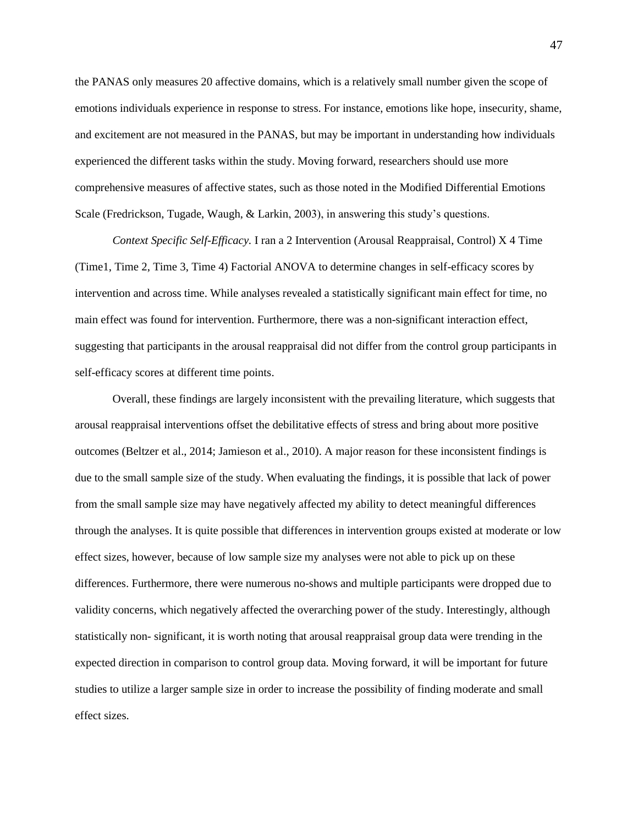the PANAS only measures 20 affective domains, which is a relatively small number given the scope of emotions individuals experience in response to stress. For instance, emotions like hope, insecurity, shame, and excitement are not measured in the PANAS, but may be important in understanding how individuals experienced the different tasks within the study. Moving forward, researchers should use more comprehensive measures of affective states, such as those noted in the Modified Differential Emotions Scale (Fredrickson, Tugade, Waugh, & Larkin, 2003), in answering this study's questions.

*Context Specific Self-Efficacy.* I ran a 2 Intervention (Arousal Reappraisal, Control) X 4 Time (Time1, Time 2, Time 3, Time 4) Factorial ANOVA to determine changes in self-efficacy scores by intervention and across time. While analyses revealed a statistically significant main effect for time, no main effect was found for intervention. Furthermore, there was a non-significant interaction effect, suggesting that participants in the arousal reappraisal did not differ from the control group participants in self-efficacy scores at different time points.

Overall, these findings are largely inconsistent with the prevailing literature, which suggests that arousal reappraisal interventions offset the debilitative effects of stress and bring about more positive outcomes (Beltzer et al., 2014; Jamieson et al., 2010). A major reason for these inconsistent findings is due to the small sample size of the study. When evaluating the findings, it is possible that lack of power from the small sample size may have negatively affected my ability to detect meaningful differences through the analyses. It is quite possible that differences in intervention groups existed at moderate or low effect sizes, however, because of low sample size my analyses were not able to pick up on these differences. Furthermore, there were numerous no-shows and multiple participants were dropped due to validity concerns, which negatively affected the overarching power of the study. Interestingly, although statistically non- significant, it is worth noting that arousal reappraisal group data were trending in the expected direction in comparison to control group data. Moving forward, it will be important for future studies to utilize a larger sample size in order to increase the possibility of finding moderate and small effect sizes.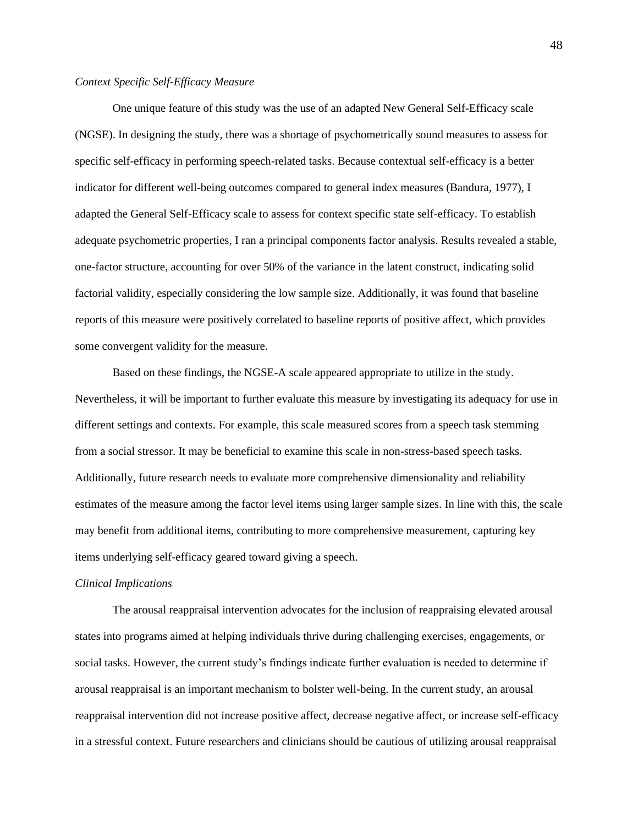# *Context Specific Self-Efficacy Measure*

One unique feature of this study was the use of an adapted New General Self-Efficacy scale (NGSE). In designing the study, there was a shortage of psychometrically sound measures to assess for specific self-efficacy in performing speech-related tasks. Because contextual self-efficacy is a better indicator for different well-being outcomes compared to general index measures (Bandura, 1977), I adapted the General Self-Efficacy scale to assess for context specific state self-efficacy. To establish adequate psychometric properties, I ran a principal components factor analysis. Results revealed a stable, one-factor structure, accounting for over 50% of the variance in the latent construct, indicating solid factorial validity, especially considering the low sample size. Additionally, it was found that baseline reports of this measure were positively correlated to baseline reports of positive affect, which provides some convergent validity for the measure.

Based on these findings, the NGSE-A scale appeared appropriate to utilize in the study. Nevertheless, it will be important to further evaluate this measure by investigating its adequacy for use in different settings and contexts. For example, this scale measured scores from a speech task stemming from a social stressor. It may be beneficial to examine this scale in non-stress-based speech tasks. Additionally, future research needs to evaluate more comprehensive dimensionality and reliability estimates of the measure among the factor level items using larger sample sizes. In line with this, the scale may benefit from additional items, contributing to more comprehensive measurement, capturing key items underlying self-efficacy geared toward giving a speech.

#### *Clinical Implications*

The arousal reappraisal intervention advocates for the inclusion of reappraising elevated arousal states into programs aimed at helping individuals thrive during challenging exercises, engagements, or social tasks. However, the current study's findings indicate further evaluation is needed to determine if arousal reappraisal is an important mechanism to bolster well-being. In the current study, an arousal reappraisal intervention did not increase positive affect, decrease negative affect, or increase self-efficacy in a stressful context. Future researchers and clinicians should be cautious of utilizing arousal reappraisal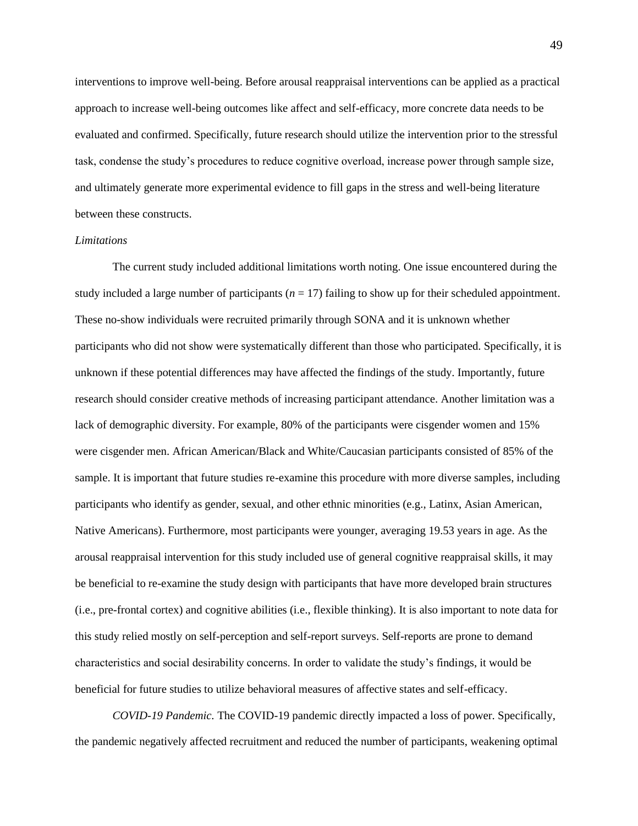interventions to improve well-being. Before arousal reappraisal interventions can be applied as a practical approach to increase well-being outcomes like affect and self-efficacy, more concrete data needs to be evaluated and confirmed. Specifically, future research should utilize the intervention prior to the stressful task, condense the study's procedures to reduce cognitive overload, increase power through sample size, and ultimately generate more experimental evidence to fill gaps in the stress and well-being literature between these constructs.

# *Limitations*

The current study included additional limitations worth noting. One issue encountered during the study included a large number of participants  $(n = 17)$  failing to show up for their scheduled appointment. These no-show individuals were recruited primarily through SONA and it is unknown whether participants who did not show were systematically different than those who participated. Specifically, it is unknown if these potential differences may have affected the findings of the study. Importantly, future research should consider creative methods of increasing participant attendance. Another limitation was a lack of demographic diversity. For example, 80% of the participants were cisgender women and 15% were cisgender men. African American/Black and White/Caucasian participants consisted of 85% of the sample. It is important that future studies re-examine this procedure with more diverse samples, including participants who identify as gender, sexual, and other ethnic minorities (e.g., Latinx, Asian American, Native Americans). Furthermore, most participants were younger, averaging 19.53 years in age. As the arousal reappraisal intervention for this study included use of general cognitive reappraisal skills, it may be beneficial to re-examine the study design with participants that have more developed brain structures (i.e., pre-frontal cortex) and cognitive abilities (i.e., flexible thinking). It is also important to note data for this study relied mostly on self-perception and self-report surveys. Self-reports are prone to demand characteristics and social desirability concerns. In order to validate the study's findings, it would be beneficial for future studies to utilize behavioral measures of affective states and self-efficacy.

*COVID-19 Pandemic.* The COVID-19 pandemic directly impacted a loss of power. Specifically, the pandemic negatively affected recruitment and reduced the number of participants, weakening optimal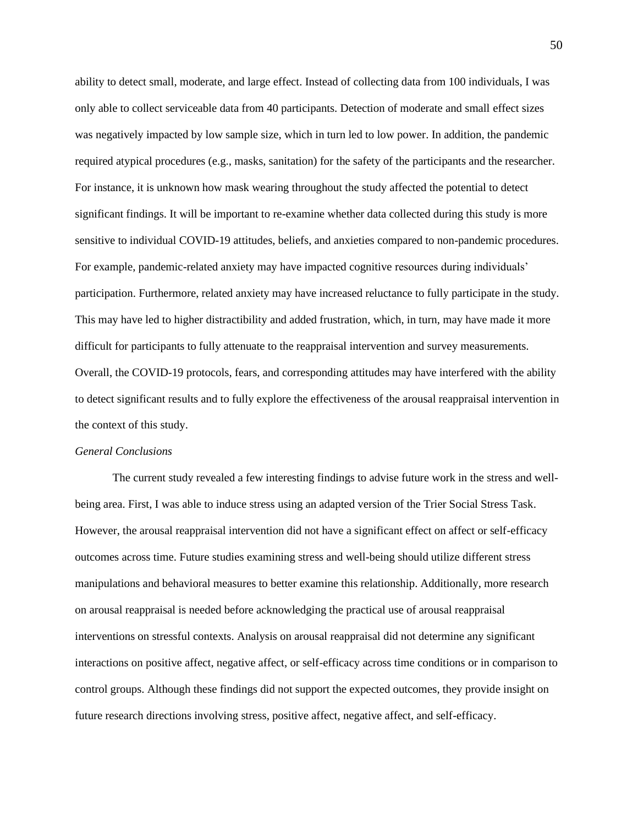ability to detect small, moderate, and large effect. Instead of collecting data from 100 individuals, I was only able to collect serviceable data from 40 participants. Detection of moderate and small effect sizes was negatively impacted by low sample size, which in turn led to low power. In addition, the pandemic required atypical procedures (e.g., masks, sanitation) for the safety of the participants and the researcher. For instance, it is unknown how mask wearing throughout the study affected the potential to detect significant findings. It will be important to re-examine whether data collected during this study is more sensitive to individual COVID-19 attitudes, beliefs, and anxieties compared to non-pandemic procedures. For example, pandemic-related anxiety may have impacted cognitive resources during individuals' participation. Furthermore, related anxiety may have increased reluctance to fully participate in the study. This may have led to higher distractibility and added frustration, which, in turn, may have made it more difficult for participants to fully attenuate to the reappraisal intervention and survey measurements. Overall, the COVID-19 protocols, fears, and corresponding attitudes may have interfered with the ability to detect significant results and to fully explore the effectiveness of the arousal reappraisal intervention in the context of this study.

## *General Conclusions*

The current study revealed a few interesting findings to advise future work in the stress and wellbeing area. First, I was able to induce stress using an adapted version of the Trier Social Stress Task. However, the arousal reappraisal intervention did not have a significant effect on affect or self-efficacy outcomes across time. Future studies examining stress and well-being should utilize different stress manipulations and behavioral measures to better examine this relationship. Additionally, more research on arousal reappraisal is needed before acknowledging the practical use of arousal reappraisal interventions on stressful contexts. Analysis on arousal reappraisal did not determine any significant interactions on positive affect, negative affect, or self-efficacy across time conditions or in comparison to control groups. Although these findings did not support the expected outcomes, they provide insight on future research directions involving stress, positive affect, negative affect, and self-efficacy.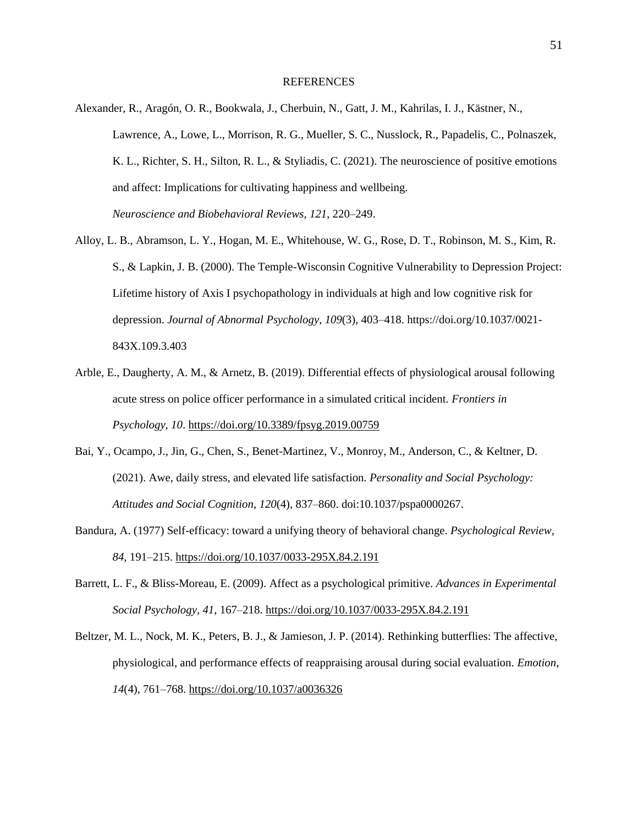#### **REFERENCES**

- Alexander, R., Aragón, O. R., Bookwala, J., Cherbuin, N., Gatt, J. M., Kahrilas, I. J., Kästner, N., Lawrence, A., Lowe, L., Morrison, R. G., Mueller, S. C., Nusslock, R., Papadelis, C., Polnaszek, K. L., Richter, S. H., Silton, R. L., & Styliadis, C. (2021). The neuroscience of positive emotions and affect: Implications for cultivating happiness and wellbeing. *Neuroscience and Biobehavioral Reviews*, *121*, 220–249.
- Alloy, L. B., Abramson, L. Y., Hogan, M. E., Whitehouse, W. G., Rose, D. T., Robinson, M. S., Kim, R. S., & Lapkin, J. B. (2000). The Temple-Wisconsin Cognitive Vulnerability to Depression Project: Lifetime history of Axis I psychopathology in individuals at high and low cognitive risk for depression. *Journal of Abnormal Psychology*, *109*(3), 403–418. [https://doi.org/10.1037/0021-](https://doi.org/10.1037/0021-843X.109.3.403) [843X.109.3.403](https://doi.org/10.1037/0021-843X.109.3.403)
- Arble, E., Daugherty, A. M., & Arnetz, B. (2019). Differential effects of physiological arousal following acute stress on police officer performance in a simulated critical incident. *Frontiers in Psychology*, *10*. <https://doi.org/10.3389/fpsyg.2019.00759>
- Bai, Y., Ocampo, J., Jin, G., Chen, S., Benet-Martinez, V., Monroy, M., Anderson, C., & Keltner, D. (2021). Awe, daily stress, and elevated life satisfaction. *Personality and Social Psychology: Attitudes and Social Cognition*, *120*(4), 837–860. doi:10.1037/pspa0000267.
- Bandura, A. (1977) Self-efficacy: toward a unifying theory of behavioral change. *Psychological Review, 84*, 191–215. [https://doi.org/10.1037/0033-295X.84.2.191](https://psycnet.apa.org/doi/10.1037/0033-295X.84.2.191)
- Barrett, L. F., & Bliss-Moreau, E. (2009). Affect as a psychological primitive. *Advances in Experimental Social Psychology*, *41*, 167–218. [https://doi.org/10.1037/0033-295X.84.2.191](https://psycnet.apa.org/doi/10.1037/0033-295X.84.2.191)
- Beltzer, M. L., Nock, M. K., Peters, B. J., & Jamieson, J. P. (2014). Rethinking butterflies: The affective, physiological, and performance effects of reappraising arousal during social evaluation. *Emotion*, *14*(4), 761–768. [https://doi.org/10.1037/a0036326](https://psycnet.apa.org/doi/10.1037/a0036326)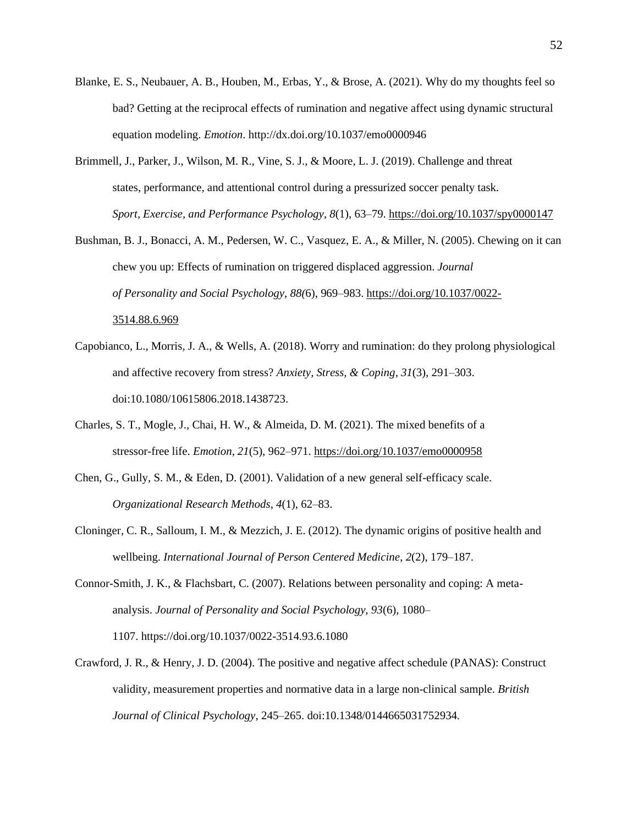- Blanke, E. S., Neubauer, A. B., Houben, M., Erbas, Y., & Brose, A. (2021). Why do my thoughts feel so bad? Getting at the reciprocal effects of rumination and negative affect using dynamic structural equation modeling. *Emotion*.<http://dx.doi.org/10.1037/emo0000946>
- Brimmell, J., Parker, J., Wilson, M. R., Vine, S. J., & Moore, L. J. (2019). Challenge and threat states, performance, and attentional control during a pressurized soccer penalty task. *Sport, Exercise, and Performance Psychology*, *8*(1), 63–79. <https://doi.org/10.1037/spy0000147>
- Bushman, B. J., Bonacci, A. M., Pedersen, W. C., Vasquez, E. A., & Miller, N. (2005). Chewing on it can chew you up: Effects of rumination on triggered displaced aggression. *Journal of Personality and Social Psychology*, *88(*6), 969–983. [https://doi.org/10.1037/0022-](https://psycnet.apa.org/doi/10.1037/0022-3514.88.6.969) [3514.88.6.969](https://psycnet.apa.org/doi/10.1037/0022-3514.88.6.969)
- Capobianco, L., Morris, J. A., & Wells, A. (2018). Worry and rumination: do they prolong physiological and affective recovery from stress? *Anxiety, Stress, & Coping*, *31*(3), 291–303. doi:10.1080/10615806.2018.1438723.
- Charles, S. T., Mogle, J., Chai, H. W., & Almeida, D. M. (2021). The mixed benefits of a stressor-free life. *Emotion*, *21*(5), 962–971. [https://doi.org/10.1037/emo0000958](https://psycnet.apa.org/doi/10.1037/emo0000958)
- Chen, G., Gully, S. M., & Eden, D. (2001). Validation of a new general self-efficacy scale. *Organizational Research Methods*, *4*(1), 62–83.
- Cloninger, C. R., Salloum, I. M., & Mezzich, J. E. (2012). The dynamic origins of positive health and wellbeing. *International Journal of Person Centered Medicine*, *2*(2), 179–187.
- Connor-Smith, J. K., & Flachsbart, C. (2007). Relations between personality and coping: A metaanalysis. *Journal of Personality and Social Psychology, 93*(6), 1080– 1107. [https://doi.org/10.1037/0022-3514.93.6.1080](https://psycnet.apa.org/doi/10.1037/0022-3514.93.6.1080)
- Crawford, J. R., & Henry, J. D. (2004). The positive and negative affect schedule (PANAS): Construct validity, measurement properties and normative data in a large non-clinical sample. *British Journal of Clinical Psychology*, 245–265. doi:10.1348/0144665031752934.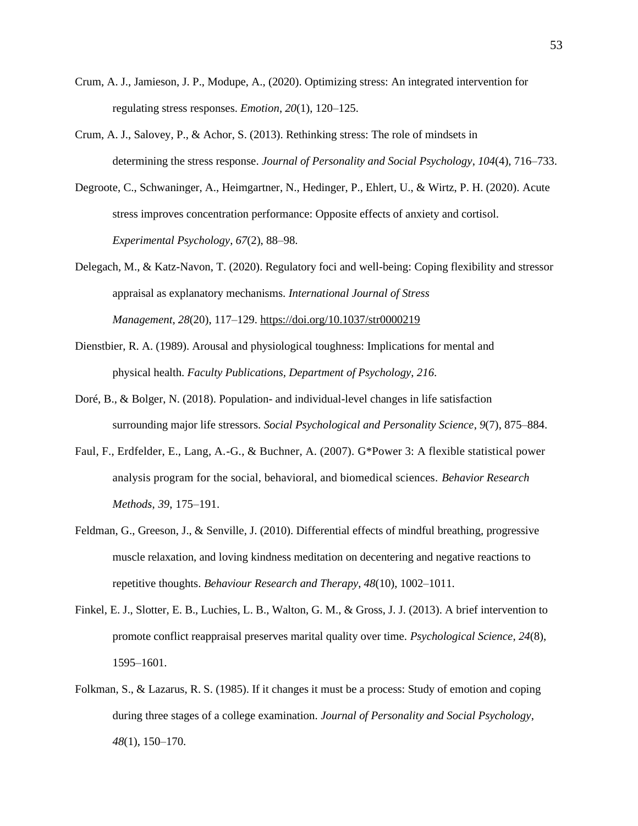- Crum, A. J., Jamieson, J. P., Modupe, A., (2020). Optimizing stress: An integrated intervention for regulating stress responses. *Emotion*, *20*(1), 120–125.
- Crum, A. J., Salovey, P., & Achor, S. (2013). Rethinking stress: The role of mindsets in determining the stress response. *Journal of Personality and Social Psychology*, *104*(4), 716–733.
- Degroote, C., Schwaninger, A., Heimgartner, N., Hedinger, P., Ehlert, U., & Wirtz, P. H. (2020). Acute stress improves concentration performance: Opposite effects of anxiety and cortisol. *Experimental Psychology*, *67*(2), 88–98.
- Delegach, M., & Katz-Navon, T. (2020). Regulatory foci and well-being: Coping flexibility and stressor appraisal as explanatory mechanisms. *International Journal of Stress Management*, *28*(20), 117–129. [https://doi.org/10.1037/str0000219](https://psycnet.apa.org/doi/10.1037/str0000219)
- Dienstbier, R. A. (1989). Arousal and physiological toughness: Implications for mental and physical health. *Faculty Publications, Department of Psychology*, *216*.
- Doré, B., & Bolger, N. (2018). Population- and individual-level changes in life satisfaction surrounding major life stressors. *Social Psychological and Personality Science*, *9*(7), 875–884.
- Faul, F., Erdfelder, E., Lang, A.-G., & Buchner, A. (2007). G\*Power 3: A flexible statistical power analysis program for the social, behavioral, and biomedical sciences. *Behavior Research Methods*, *39*, 175–191.
- Feldman, G., Greeson, J., & Senville, J. (2010). Differential effects of mindful breathing, progressive muscle relaxation, and loving kindness meditation on decentering and negative reactions to repetitive thoughts. *Behaviour Research and Therapy*, *48*(10), 1002–1011.
- Finkel, E. J., Slotter, E. B., Luchies, L. B., Walton, G. M., & Gross, J. J. (2013). A brief intervention to promote conflict reappraisal preserves marital quality over time. *Psychological Science*, *24*(8), 1595–1601.
- Folkman, S., & Lazarus, R. S. (1985). If it changes it must be a process: Study of emotion and coping during three stages of a college examination. *Journal of Personality and Social Psychology*, *48*(1), 150–170.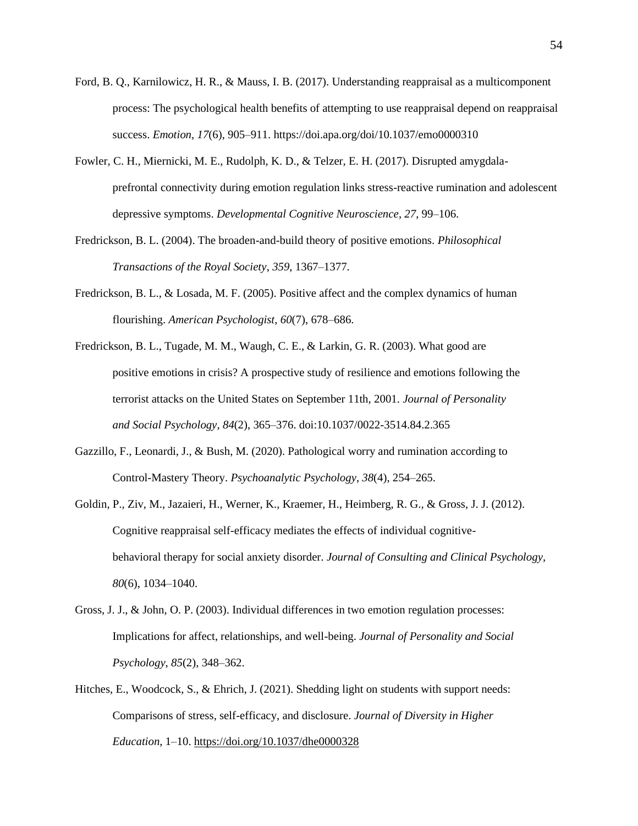- Ford, B. Q., Karnilowicz, H. R., & Mauss, I. B. (2017). Understanding reappraisal as a multicomponent process: The psychological health benefits of attempting to use reappraisal depend on reappraisal success. *Emotion*, *17*(6), 905–911.<https://doi.apa.org/doi/10.1037/emo0000310>
- Fowler, C. H., Miernicki, M. E., Rudolph, K. D., & Telzer, E. H. (2017). Disrupted amygdalaprefrontal connectivity during emotion regulation links stress-reactive rumination and adolescent depressive symptoms. *Developmental Cognitive Neuroscience*, *27*, 99–106.
- Fredrickson, B. L. (2004). The broaden-and-build theory of positive emotions. *Philosophical Transactions of the Royal Society*, *359*, 1367–1377.
- Fredrickson, B. L., & Losada, M. F. (2005). Positive affect and the complex dynamics of human flourishing. *American Psychologist*, *60*(7), 678–686.
- Fredrickson, B. L., Tugade, M. M., Waugh, C. E., & Larkin, G. R. (2003). What good are positive emotions in crisis? A prospective study of resilience and emotions following the terrorist attacks on the United States on September 11th, 2001. *Journal of Personality and Social Psychology*, *84*(2), 365–376. doi:10.1037/0022-3514.84.2.365
- Gazzillo, F., Leonardi, J., & Bush, M. (2020). Pathological worry and rumination according to Control-Mastery Theory. *Psychoanalytic Psychology*, *38*(4), 254–265.
- Goldin, P., Ziv, M., Jazaieri, H., Werner, K., Kraemer, H., Heimberg, R. G., & Gross, J. J. (2012). Cognitive reappraisal self-efficacy mediates the effects of individual cognitivebehavioral therapy for social anxiety disorder. *Journal of Consulting and Clinical Psychology*, *80*(6), 1034–1040.
- Gross, J. J., & John, O. P. (2003). Individual differences in two emotion regulation processes: Implications for affect, relationships, and well-being. *Journal of Personality and Social Psychology*, *85*(2), 348–362.
- Hitches, E., Woodcock, S., & Ehrich, J. (2021). Shedding light on students with support needs: Comparisons of stress, self-efficacy, and disclosure. *Journal of Diversity in Higher Education*, 1–10. [https://doi.org/10.1037/dhe0000328](https://psycnet.apa.org/doi/10.1037/dhe0000328)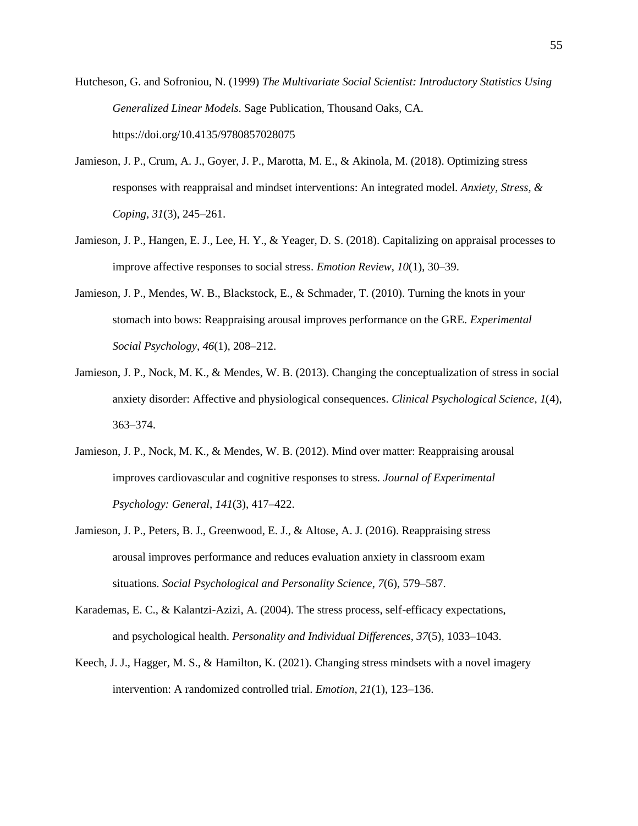- Hutcheson, G. and Sofroniou, N. (1999) *The Multivariate Social Scientist: Introductory Statistics Using Generalized Linear Models*. Sage Publication, Thousand Oaks, CA. https://doi.org/10.4135/9780857028075
- Jamieson, J. P., Crum, A. J., Goyer, J. P., Marotta, M. E., & Akinola, M. (2018). Optimizing stress responses with reappraisal and mindset interventions: An integrated model. *Anxiety, Stress, & Coping*, *31*(3), 245–261.
- Jamieson, J. P., Hangen, E. J., Lee, H. Y., & Yeager, D. S. (2018). Capitalizing on appraisal processes to improve affective responses to social stress. *Emotion Review*, *10*(1), 30–39.
- Jamieson, J. P., Mendes, W. B., Blackstock, E., & Schmader, T. (2010). Turning the knots in your stomach into bows: Reappraising arousal improves performance on the GRE. *Experimental Social Psychology*, *46*(1), 208–212.
- Jamieson, J. P., Nock, M. K., & Mendes, W. B. (2013). Changing the conceptualization of stress in social anxiety disorder: Affective and physiological consequences. *Clinical Psychological Science*, *1*(4), 363–374.
- Jamieson, J. P., Nock, M. K., & Mendes, W. B. (2012). Mind over matter: Reappraising arousal improves cardiovascular and cognitive responses to stress. *Journal of Experimental Psychology: General*, *141*(3), 417–422.
- Jamieson, J. P., Peters, B. J., Greenwood, E. J., & Altose, A. J. (2016). Reappraising stress arousal improves performance and reduces evaluation anxiety in classroom exam situations. *Social Psychological and Personality Science*, *7*(6), 579–587.
- Karademas, E. C., & Kalantzi-Azizi, A. (2004). The stress process, self-efficacy expectations, and psychological health. *Personality and Individual Differences*, *37*(5), 1033–1043.
- Keech, J. J., Hagger, M. S., & Hamilton, K. (2021). Changing stress mindsets with a novel imagery intervention: A randomized controlled trial. *Emotion*, *21*(1), 123–136.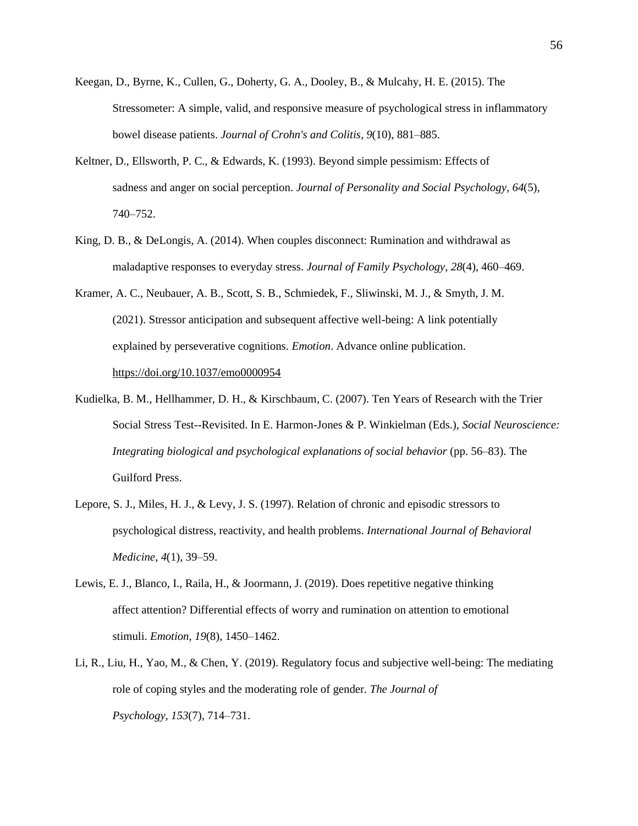- Keegan, D., Byrne, K., Cullen, G., Doherty, G. A., Dooley, B., & Mulcahy, H. E. (2015). The Stressometer: A simple, valid, and responsive measure of psychological stress in inflammatory bowel disease patients. *Journal of Crohn's and Colitis*, *9*(10), 881–885.
- Keltner, D., Ellsworth, P. C., & Edwards, K. (1993). Beyond simple pessimism: Effects of sadness and anger on social perception. *Journal of Personality and Social Psychology*, *64*(5), 740–752.
- King, D. B., & DeLongis, A. (2014). When couples disconnect: Rumination and withdrawal as maladaptive responses to everyday stress. *Journal of Family Psychology*, *28*(4), 460–469.
- Kramer, A. C., Neubauer, A. B., Scott, S. B., Schmiedek, F., Sliwinski, M. J., & Smyth, J. M. (2021). Stressor anticipation and subsequent affective well-being: A link potentially explained by perseverative cognitions. *Emotion*. Advance online publication. [https://doi.org/10.1037/emo0000954](https://psycnet.apa.org/doi/10.1037/emo0000954)
- Kudielka, B. M., Hellhammer, D. H., & Kirschbaum, C. (2007). Ten Years of Research with the Trier Social Stress Test--Revisited. In E. Harmon-Jones & P. Winkielman (Eds.), *Social Neuroscience: Integrating biological and psychological explanations of social behavior* (pp. 56–83). The Guilford Press.
- Lepore, S. J., Miles, H. J., & Levy, J. S. (1997). Relation of chronic and episodic stressors to psychological distress, reactivity, and health problems. *International Journal of Behavioral Medicine*, *4*(1), 39–59.
- Lewis, E. J., Blanco, I., Raila, H., & Joormann, J. (2019). Does repetitive negative thinking affect attention? Differential effects of worry and rumination on attention to emotional stimuli. *Emotion*, *19*(8), 1450–1462.
- Li, R., Liu, H., Yao, M., & Chen, Y. (2019). Regulatory focus and subjective well-being: The mediating role of coping styles and the moderating role of gender. *The Journal of Psychology*, *153*(7), 714–731.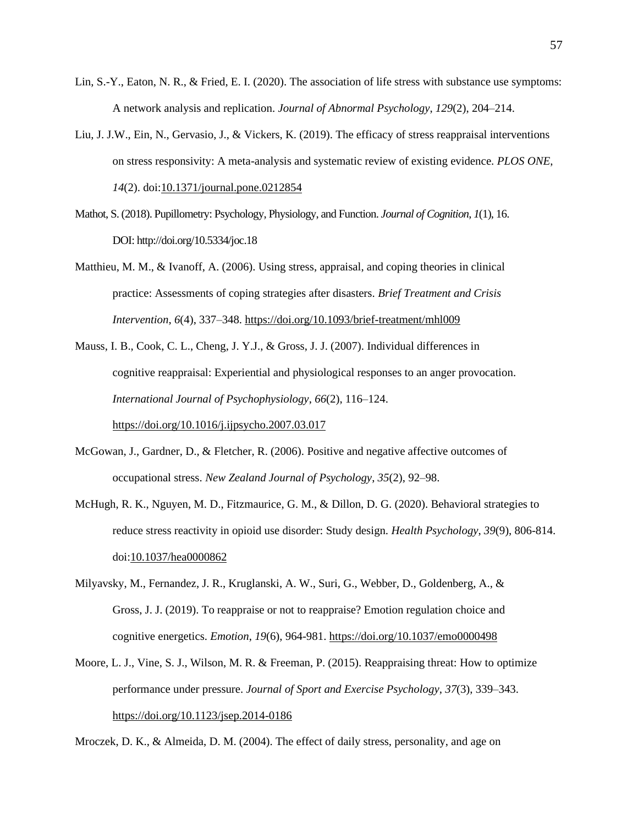- Lin, S.-Y., Eaton, N. R., & Fried, E. I. (2020). The association of life stress with substance use symptoms: A network analysis and replication. *Journal of Abnormal Psychology*, *129*(2), 204–214.
- Liu, J. J.W., Ein, N., Gervasio, J., & Vickers, K. (2019). The efficacy of stress reappraisal interventions on stress responsivity: A meta-analysis and systematic review of existing evidence. *PLOS ONE*, *14*(2). doi[:10.1371/journal.pone.0212854](https://doi.org/10.1371/journal.pone.0212854)
- Mathot, S. (2018). Pupillometry: Psychology, Physiology, and Function. *Journal of Cognition*, *1*(1), 16. DOI: <http://doi.org/10.5334/joc.18>
- Matthieu, M. M., & Ivanoff, A. (2006). Using stress, appraisal, and coping theories in clinical practice: Assessments of coping strategies after disasters. *Brief Treatment and Crisis Intervention*, *6*(4), 337–348. [https://doi.org/10.1093/brief-treatment/mhl009](https://psycnet.apa.org/doi/10.1093/brief-treatment/mhl009)
- Mauss, I. B., Cook, C. L., Cheng, J. Y.J., & Gross, J. J. (2007). Individual differences in cognitive reappraisal: Experiential and physiological responses to an anger provocation. *International Journal of Psychophysiology*, *66*(2), 116–124. <https://doi.org/10.1016/j.ijpsycho.2007.03.017>
- McGowan, J., Gardner, D., & Fletcher, R. (2006). Positive and negative affective outcomes of occupational stress. *New Zealand Journal of Psychology*, *35*(2), 92–98.
- McHugh, R. K., Nguyen, M. D., Fitzmaurice, G. M., & Dillon, D. G. (2020). Behavioral strategies to reduce stress reactivity in opioid use disorder: Study design. *Health Psychology*, *39*(9), 806-814. doi[:10.1037/hea0000862](https://doi.org/10.1037/hea0000862)
- Milyavsky, M., Fernandez, J. R., Kruglanski, A. W., Suri, G., Webber, D., Goldenberg, A., & Gross, J. J. (2019). To reappraise or not to reappraise? Emotion regulation choice and cognitive energetics. *Emotion*, *19*(6), 964-981. [https://doi.org/10.1037/emo0000498](https://psycnet.apa.org/doi/10.1037/emo0000498)
- Moore, L. J., Vine, S. J., Wilson, M. R. & Freeman, P. (2015). Reappraising threat: How to optimize performance under pressure. *Journal of Sport and Exercise Psychology*, *37*(3), 339–343. [https://doi.org/10.1123/jsep.2014-0186](https://psycnet.apa.org/doi/10.1123/jsep.2014-0186)

Mroczek, D. K., & Almeida, D. M. (2004). The effect of daily stress, personality, and age on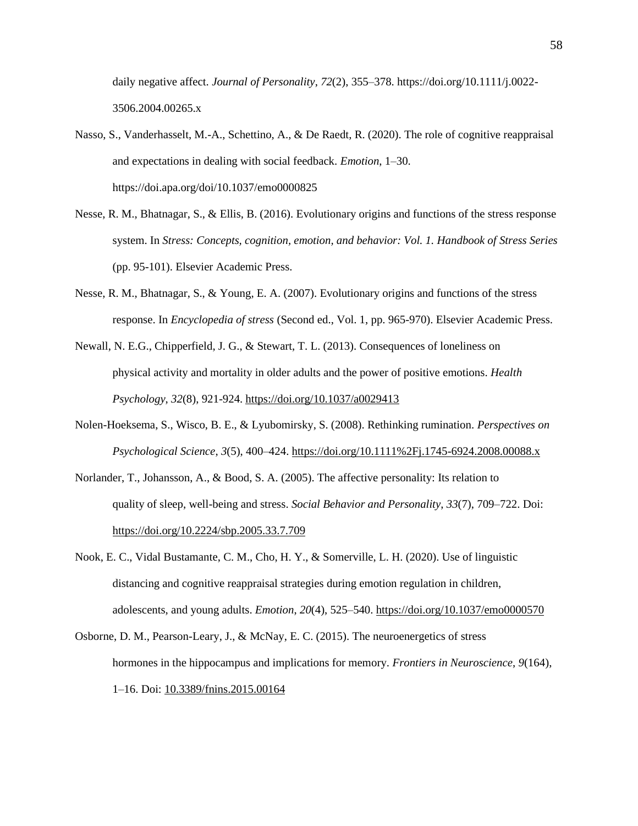daily negative affect. *Journal of Personality*, *72*(2), 355–378. [https://doi.org/10.1111/j.0022-](https://doi.org/10.1111/j.0022-3506.2004.00265.x) [3506.2004.00265.x](https://doi.org/10.1111/j.0022-3506.2004.00265.x)

- Nasso, S., Vanderhasselt, M.-A., Schettino, A., & De Raedt, R. (2020). The role of cognitive reappraisal and expectations in dealing with social feedback. *Emotion*, 1–30. <https://doi.apa.org/doi/10.1037/emo0000825>
- Nesse, R. M., Bhatnagar, S., & Ellis, B. (2016). Evolutionary origins and functions of the stress response system. In *Stress: Concepts, cognition, emotion, and behavior: Vol. 1. Handbook of Stress Series* (pp. 95-101). Elsevier Academic Press.
- Nesse, R. M., Bhatnagar, S., & Young, E. A. (2007). Evolutionary origins and functions of the stress response. In *Encyclopedia of stress* (Second ed., Vol. 1, pp. 965-970). Elsevier Academic Press.
- Newall, N. E.G., Chipperfield, J. G., & Stewart, T. L. (2013). Consequences of loneliness on physical activity and mortality in older adults and the power of positive emotions. *Health Psychology*, *32*(8), 921-924. [https://doi.org/10.1037/a0029413](https://psycnet.apa.org/doi/10.1037/a0029413)
- Nolen-Hoeksema, S., Wisco, B. E., & Lyubomirsky, S. (2008). Rethinking rumination. *Perspectives on Psychological Science*, *3*(5), 400–424.<https://doi.org/10.1111%2Fj.1745-6924.2008.00088.x>
- Norlander, T., Johansson, A., & Bood, S. A. (2005). The affective personality: Its relation to quality of sleep, well-being and stress. *Social Behavior and Personality*, *33*(7), 709–722. Doi: <https://doi.org/10.2224/sbp.2005.33.7.709>
- Nook, E. C., Vidal Bustamante, C. M., Cho, H. Y., & Somerville, L. H. (2020). Use of linguistic distancing and cognitive reappraisal strategies during emotion regulation in children, adolescents, and young adults. *Emotion*, *20*(4), 525–540. <https://doi.org/10.1037/emo0000570>
- Osborne, D. M., Pearson-Leary, J., & McNay, E. C. (2015). The neuroenergetics of stress hormones in the hippocampus and implications for memory. *Frontiers in Neuroscience*, *9*(164), 1–16. Doi: [10.3389/fnins.2015.00164](https://dx.doi.org/10.3389%2Ffnins.2015.00164)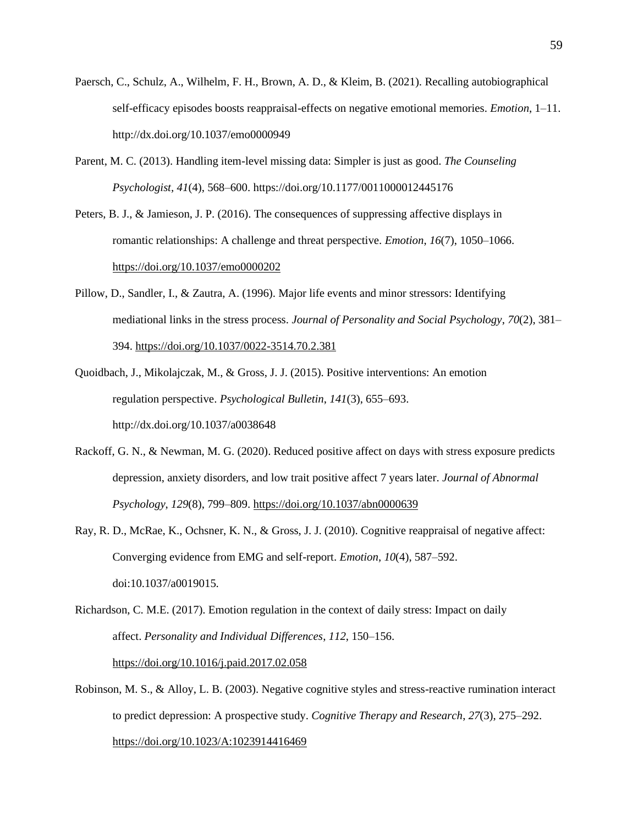- Paersch, C., Schulz, A., Wilhelm, F. H., Brown, A. D., & Kleim, B. (2021). Recalling autobiographical self-efficacy episodes boosts reappraisal-effects on negative emotional memories. *Emotion*, 1–11. <http://dx.doi.org/10.1037/emo0000949>
- Parent, M. C. (2013). Handling item-level missing data: Simpler is just as good. *The Counseling Psychologist, 41*(4), 568–600. [https://doi.org/10.1177/0011000012445176](https://psycnet.apa.org/doi/10.1177/0011000012445176)
- Peters, B. J., & Jamieson, J. P. (2016). The consequences of suppressing affective displays in romantic relationships: A challenge and threat perspective. *Emotion*, *16*(7), 1050–1066. [https://doi.org/10.1037/emo0000202](https://psycnet.apa.org/doi/10.1037/emo0000202)
- Pillow, D., Sandler, I., & Zautra, A. (1996). Major life events and minor stressors: Identifying mediational links in the stress process. *Journal of Personality and Social Psychology*, *70*(2), 381– 394. [https://doi.org/10.1037/0022-3514.70.2.381](https://psycnet.apa.org/doi/10.1037/0022-3514.70.2.381)
- Quoidbach, J., Mikolajczak, M., & Gross, J. J. (2015). Positive interventions: An emotion regulation perspective. *Psychological Bulletin*, *141*(3), 655–693. http://dx.doi.org/10.1037/a0038648
- Rackoff, G. N., & Newman, M. G. (2020). Reduced positive affect on days with stress exposure predicts depression, anxiety disorders, and low trait positive affect 7 years later. *Journal of Abnormal Psychology*, *129*(8), 799–809. [https://doi.org/10.1037/abn0000639](https://psycnet.apa.org/doi/10.1037/abn0000639)
- Ray, R. D., McRae, K., Ochsner, K. N., & Gross, J. J. (2010). Cognitive reappraisal of negative affect: Converging evidence from EMG and self-report. *Emotion*, *10*(4), 587–592. doi:10.1037/a0019015.
- Richardson, C. M.E. (2017). Emotion regulation in the context of daily stress: Impact on daily affect. *Personality and Individual Differences*, *112*, 150–156. [https://doi.org/10.1016/j.paid.2017.02.058](https://psycnet.apa.org/doi/10.1016/j.paid.2017.02.058)
- Robinson, M. S., & Alloy, L. B. (2003). Negative cognitive styles and stress-reactive rumination interact to predict depression: A prospective study. *Cognitive Therapy and Research*, *27*(3), 275–292. [https://doi.org/10.1023/A:1023914416469](https://psycnet.apa.org/doi/10.1023/A:1023914416469)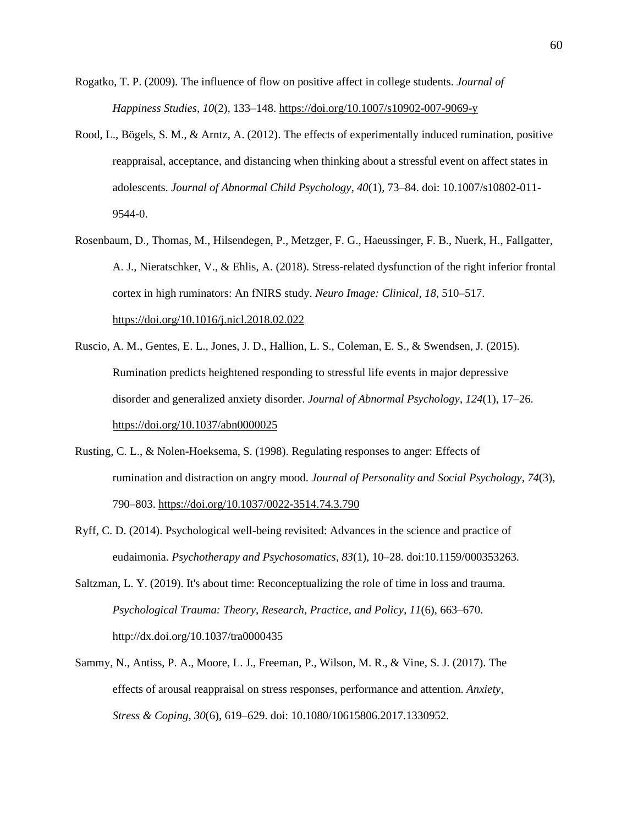- Rogatko, T. P. (2009). The influence of flow on positive affect in college students. *Journal of Happiness Studies*, *10*(2), 133–148. [https://doi.org/10.1007/s10902-007-9069-y](https://psycnet.apa.org/doi/10.1007/s10902-007-9069-y)
- Rood, L., Bögels, S. M., & Arntz, A. (2012). The effects of experimentally induced rumination, positive reappraisal, acceptance, and distancing when thinking about a stressful event on affect states in adolescents. *Journal of Abnormal Child Psychology*, *40*(1), 73–84. doi: 10.1007/s10802-011- 9544-0.
- Rosenbaum, D., Thomas, M., Hilsendegen, P., Metzger, F. G., Haeussinger, F. B., Nuerk, H., Fallgatter, A. J., Nieratschker, V., & Ehlis, A. (2018). Stress-related dysfunction of the right inferior frontal cortex in high ruminators: An fNIRS study. *Neuro Image: Clinical*, *18*, 510–517. <https://doi.org/10.1016/j.nicl.2018.02.022>
- Ruscio, A. M., Gentes, E. L., Jones, J. D., Hallion, L. S., Coleman, E. S., & Swendsen, J. (2015). Rumination predicts heightened responding to stressful life events in major depressive disorder and generalized anxiety disorder. *Journal of Abnormal Psychology*, *124*(1), 17–26. [https://doi.org/10.1037/abn0000025](https://psycnet.apa.org/doi/10.1037/abn0000025)
- Rusting, C. L., & Nolen-Hoeksema, S. (1998). Regulating responses to anger: Effects of rumination and distraction on angry mood. *Journal of Personality and Social Psychology*, *74*(3), 790–803. [https://doi.org/10.1037/0022-3514.74.3.790](https://content.apa.org/doi/10.1037/0022-3514.74.3.790)
- Ryff, C. D. (2014). Psychological well-being revisited: Advances in the science and practice of eudaimonia. *Psychotherapy and Psychosomatics*, *83*(1), 10–28. doi:10.1159/000353263.
- Saltzman, L. Y. (2019). It's about time: Reconceptualizing the role of time in loss and trauma. *Psychological Trauma: Theory, Research, Practice, and Policy*, *11*(6), 663–670. <http://dx.doi.org/10.1037/tra0000435>
- Sammy, N., Antiss, P. A., Moore, L. J., Freeman, P., Wilson, M. R., & Vine, S. J. (2017). The effects of arousal reappraisal on stress responses, performance and attention. *Anxiety, Stress & Coping*, *30*(6), 619–629. doi: 10.1080/10615806.2017.1330952.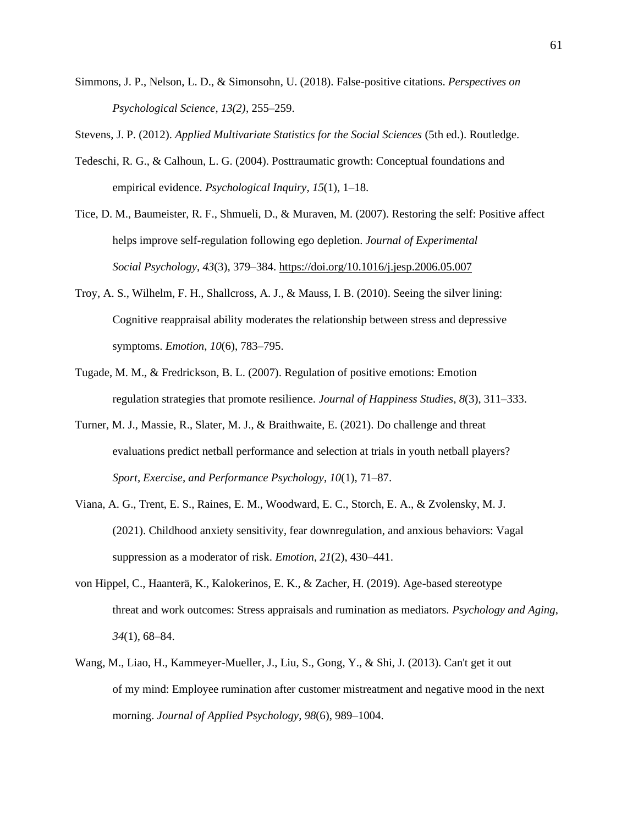Simmons, J. P., Nelson, L. D., & Simonsohn, U. (2018). False-positive citations. *Perspectives on Psychological Science, 13(2)*, 255–259.

Stevens, J. P. (2012). *Applied Multivariate Statistics for the Social Sciences* (5th ed.). Routledge.

- Tedeschi, R. G., & Calhoun, L. G. (2004). Posttraumatic growth: Conceptual foundations and empirical evidence. *Psychological Inquiry*, *15*(1), 1–18.
- Tice, D. M., Baumeister, R. F., Shmueli, D., & Muraven, M. (2007). Restoring the self: Positive affect helps improve self-regulation following ego depletion. *Journal of Experimental Social Psychology*, *43*(3), 379–384. [https://doi.org/10.1016/j.jesp.2006.05.007](https://psycnet.apa.org/doi/10.1016/j.jesp.2006.05.007)
- Troy, A. S., Wilhelm, F. H., Shallcross, A. J., & Mauss, I. B. (2010). Seeing the silver lining: Cognitive reappraisal ability moderates the relationship between stress and depressive symptoms. *Emotion*, *10*(6), 783–795.
- Tugade, M. M., & Fredrickson, B. L. (2007). Regulation of positive emotions: Emotion regulation strategies that promote resilience. *Journal of Happiness Studies*, *8*(3), 311–333.
- Turner, M. J., Massie, R., Slater, M. J., & Braithwaite, E. (2021). Do challenge and threat evaluations predict netball performance and selection at trials in youth netball players? *Sport, Exercise, and Performance Psychology*, *10*(1), 71–87.
- Viana, A. G., Trent, E. S., Raines, E. M., Woodward, E. C., Storch, E. A., & Zvolensky, M. J. (2021). Childhood anxiety sensitivity, fear downregulation, and anxious behaviors: Vagal suppression as a moderator of risk. *Emotion*, *21*(2), 430–441.
- von Hippel, C., Haanterä, K., Kalokerinos, E. K., & Zacher, H. (2019). Age-based stereotype threat and work outcomes: Stress appraisals and rumination as mediators. *Psychology and Aging*, *34*(1), 68–84.
- Wang, M., Liao, H., Kammeyer-Mueller, J., Liu, S., Gong, Y., & Shi, J. (2013). Can't get it out of my mind: Employee rumination after customer mistreatment and negative mood in the next morning. *Journal of Applied Psychology*, *98*(6), 989–1004.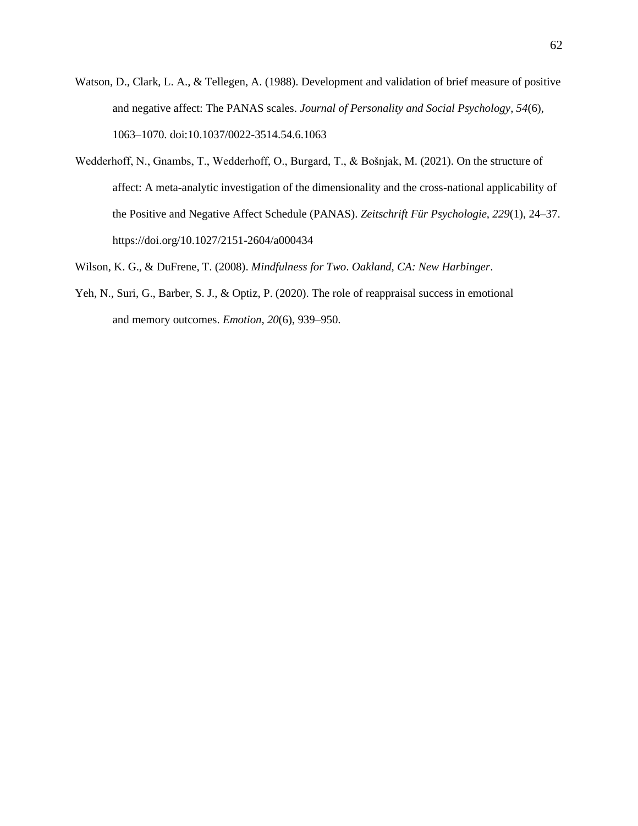- Watson, D., Clark, L. A., & Tellegen, A. (1988). Development and validation of brief measure of positive and negative affect: The PANAS scales. *Journal of Personality and Social Psychology*, *54*(6), 1063–1070. doi:10.1037/0022-3514.54.6.1063
- Wedderhoff, N., Gnambs, T., Wedderhoff, O., Burgard, T., & Bošnjak, M. (2021). On the structure of affect: A meta-analytic investigation of the dimensionality and the cross-national applicability of the Positive and Negative Affect Schedule (PANAS). *Zeitschrift Für Psychologie*, *229*(1), 24–37. <https://doi.org/10.1027/2151-2604/a000434>
- Wilson, K. G., & DuFrene, T. (2008). *Mindfulness for Two*. *Oakland, CA: New Harbinger*.
- Yeh, N., Suri, G., Barber, S. J., & Optiz, P. (2020). The role of reappraisal success in emotional and memory outcomes. *Emotion*, *20*(6), 939–950.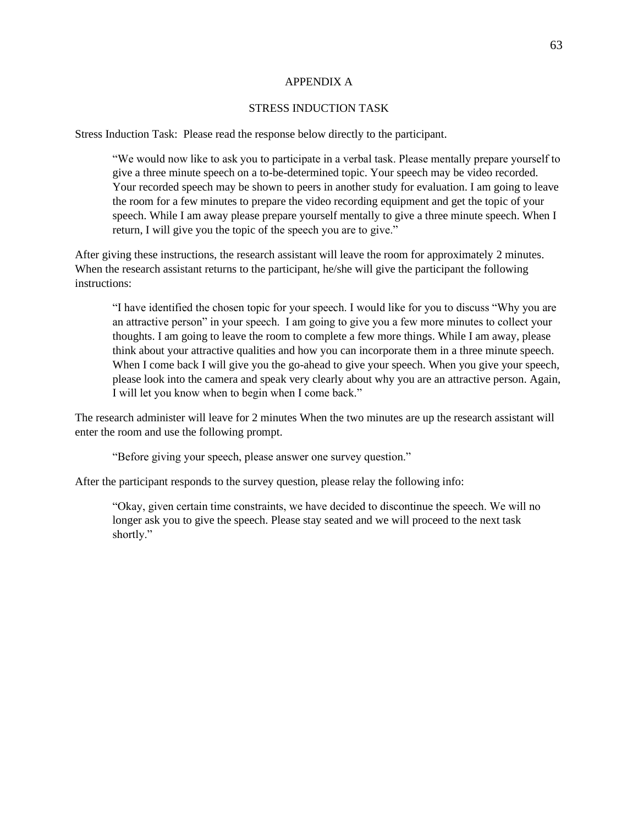#### APPENDIX A

# STRESS INDUCTION TASK

Stress Induction Task: Please read the response below directly to the participant.

"We would now like to ask you to participate in a verbal task. Please mentally prepare yourself to give a three minute speech on a to-be-determined topic. Your speech may be video recorded. Your recorded speech may be shown to peers in another study for evaluation. I am going to leave the room for a few minutes to prepare the video recording equipment and get the topic of your speech. While I am away please prepare yourself mentally to give a three minute speech. When I return, I will give you the topic of the speech you are to give."

After giving these instructions, the research assistant will leave the room for approximately 2 minutes. When the research assistant returns to the participant, he/she will give the participant the following instructions:

"I have identified the chosen topic for your speech. I would like for you to discuss "Why you are an attractive person" in your speech. I am going to give you a few more minutes to collect your thoughts. I am going to leave the room to complete a few more things. While I am away, please think about your attractive qualities and how you can incorporate them in a three minute speech. When I come back I will give you the go-ahead to give your speech. When you give your speech, please look into the camera and speak very clearly about why you are an attractive person. Again, I will let you know when to begin when I come back."

The research administer will leave for 2 minutes When the two minutes are up the research assistant will enter the room and use the following prompt.

"Before giving your speech, please answer one survey question."

After the participant responds to the survey question, please relay the following info:

"Okay, given certain time constraints, we have decided to discontinue the speech. We will no longer ask you to give the speech. Please stay seated and we will proceed to the next task shortly."